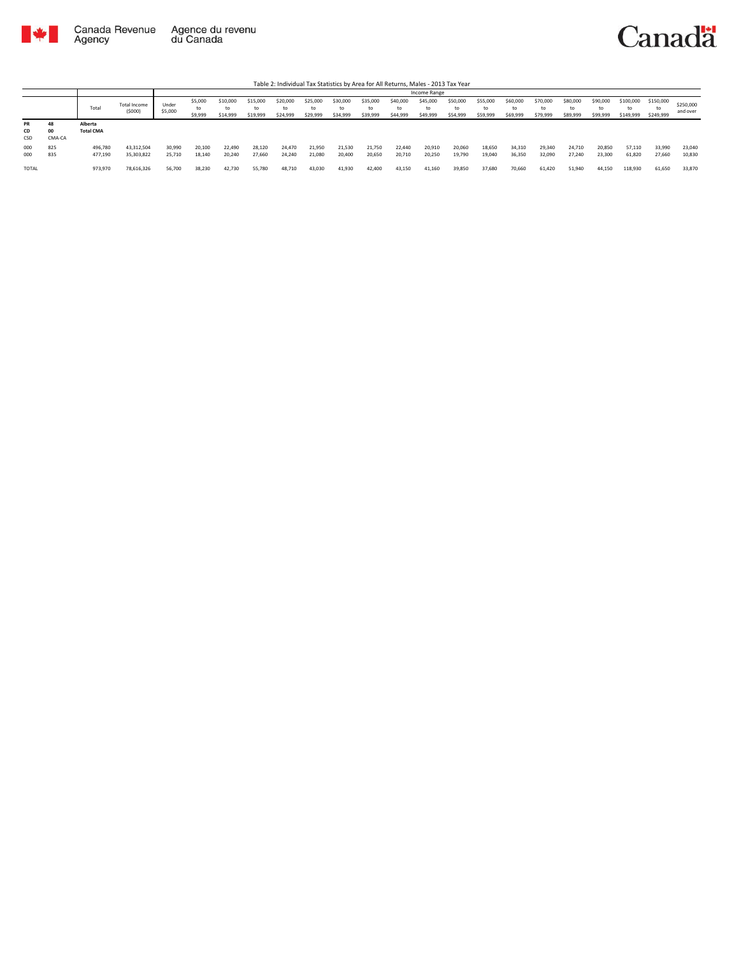

|                        |                    |                             |                          |                  |                          |                            |                            |                            |                            |                            |                            |                            | Income Range               |                            |                            |                            |                            |                            |                            |                              |                              |                       |
|------------------------|--------------------|-----------------------------|--------------------------|------------------|--------------------------|----------------------------|----------------------------|----------------------------|----------------------------|----------------------------|----------------------------|----------------------------|----------------------------|----------------------------|----------------------------|----------------------------|----------------------------|----------------------------|----------------------------|------------------------------|------------------------------|-----------------------|
|                        |                    | Total                       | Total Income<br>(5000)   | Under<br>\$5,000 | \$5,000<br>to<br>\$9,999 | \$10,000<br>to<br>\$14,999 | \$15,000<br>to<br>\$19,999 | \$20,000<br>to<br>\$24,999 | \$25,000<br>to<br>\$29,999 | \$30,000<br>to<br>\$34,999 | \$35,000<br>to<br>\$39,999 | \$40,000<br>to<br>\$44,999 | \$45,000<br>to<br>\$49,999 | \$50,000<br>to<br>\$54,999 | \$55,000<br>to<br>\$59,999 | \$60,000<br>to<br>\$69,999 | \$70,000<br>to<br>\$79,999 | \$80,000<br>to<br>\$89,999 | \$90,000<br>to<br>\$99,999 | \$100,000<br>to<br>\$149,999 | \$150,000<br>to<br>\$249,999 | \$250,000<br>and over |
| <b>PR</b><br>CD<br>CSD | 48<br>00<br>CMA-CA | Alberta<br><b>Total CMA</b> |                          |                  |                          |                            |                            |                            |                            |                            |                            |                            |                            |                            |                            |                            |                            |                            |                            |                              |                              |                       |
| 000<br>000             | 825<br>835         | 496,780<br>477,190          | 43,312,504<br>35,303,822 | 30,990<br>25,710 | 20,100<br>18,140         | 22,490<br>20,240           | 28,120<br>27,660           | 24,470<br>24,240           | 21,950<br>21,080           | 21,530<br>20,400           | 21,750<br>20,650           | 22,440<br>20,710           | 20,910<br>20,250           | 20,060<br>19,790           | 18,650<br>19,040           | 34,310<br>36,350           | 29,340<br>32,090           | 24,710<br>27,240           | 20,850<br>23,300           | 57.110<br>61,820             | 33,990<br>27,660             | 23,040<br>10,830      |
| TOTAL                  |                    | 973,970                     | 78,616,326               | 56,700           | 38,230                   | 42,730                     | 55,780                     | 48,710                     | 43,030                     | 41,930                     | 42,400                     | 43,150                     | 41,160                     | 39,850                     | 37,680                     | 70,660                     | 61,420                     | 51,940                     | 44,150                     | 118,930                      | 61,650                       | 33,870                |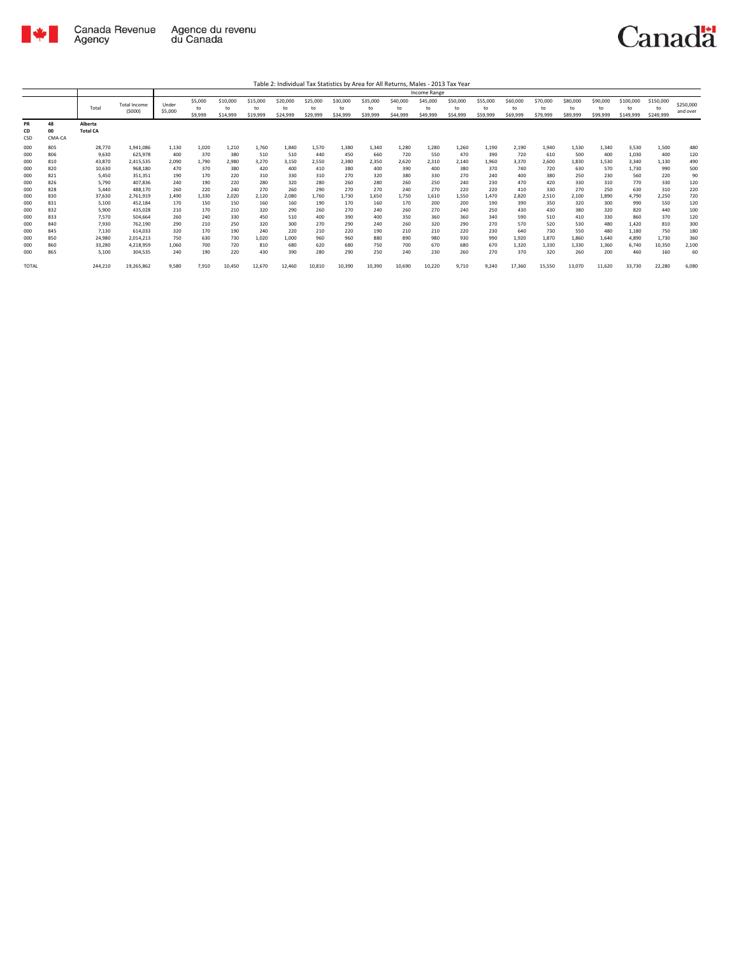

Table 2: Individual Tax Statistics by Area for All Returns, Males - 2013 Tax Year

|                                                                                                       |                                                                                                       |                                                                                                                                           |                                                                                                                                                                             |                                                                                                               |                                                                                                             |                                                                                                             |                                                                                                               |                                                                                                               |                                                                                                             |                                                                                                             |                                                                                                             |                                                                                                             | Income Range                                                                                                |                                                                                                             |                                                                                                             |                                                                                                                 |                                                                                                                 |                                                                                                                 |                                                                                                                 |                                                                                                                         |                                                                                                                  |                                                                                                        |
|-------------------------------------------------------------------------------------------------------|-------------------------------------------------------------------------------------------------------|-------------------------------------------------------------------------------------------------------------------------------------------|-----------------------------------------------------------------------------------------------------------------------------------------------------------------------------|---------------------------------------------------------------------------------------------------------------|-------------------------------------------------------------------------------------------------------------|-------------------------------------------------------------------------------------------------------------|---------------------------------------------------------------------------------------------------------------|---------------------------------------------------------------------------------------------------------------|-------------------------------------------------------------------------------------------------------------|-------------------------------------------------------------------------------------------------------------|-------------------------------------------------------------------------------------------------------------|-------------------------------------------------------------------------------------------------------------|-------------------------------------------------------------------------------------------------------------|-------------------------------------------------------------------------------------------------------------|-------------------------------------------------------------------------------------------------------------|-----------------------------------------------------------------------------------------------------------------|-----------------------------------------------------------------------------------------------------------------|-----------------------------------------------------------------------------------------------------------------|-----------------------------------------------------------------------------------------------------------------|-------------------------------------------------------------------------------------------------------------------------|------------------------------------------------------------------------------------------------------------------|--------------------------------------------------------------------------------------------------------|
|                                                                                                       |                                                                                                       | Total                                                                                                                                     | <b>Total Income</b><br>(5000)                                                                                                                                               | Under<br>\$5,000                                                                                              | \$5,000<br>to<br>\$9,999                                                                                    | \$10,000<br>to<br>\$14,999                                                                                  | \$15,000<br>to<br>\$19,999                                                                                    | \$20,000<br>tο<br>\$24,999                                                                                    | \$25,000<br>to<br>\$29,999                                                                                  | \$30,000<br>to<br>\$34,999                                                                                  | \$35,000<br>to<br>\$39,999                                                                                  | \$40,000<br>to<br>\$44,999                                                                                  | \$45,000<br>to<br>\$49,999                                                                                  | \$50,000<br>to<br>\$54,999                                                                                  | \$55,000<br>to<br>\$59,999                                                                                  | \$60,000<br>to<br>\$69,999                                                                                      | \$70,000<br>to<br>\$79,999                                                                                      | \$80,000<br>to<br>\$89,999                                                                                      | \$90,000<br>to<br>\$99,999                                                                                      | \$100,000<br>to<br>\$149,999                                                                                            | \$150,000<br>to<br>\$249,999                                                                                     | \$250,000<br>and over                                                                                  |
| <b>PR</b><br>CD<br>CSD                                                                                | 48<br>00<br>CMA-CA                                                                                    | Alberta<br><b>Total CA</b>                                                                                                                |                                                                                                                                                                             |                                                                                                               |                                                                                                             |                                                                                                             |                                                                                                               |                                                                                                               |                                                                                                             |                                                                                                             |                                                                                                             |                                                                                                             |                                                                                                             |                                                                                                             |                                                                                                             |                                                                                                                 |                                                                                                                 |                                                                                                                 |                                                                                                                 |                                                                                                                         |                                                                                                                  |                                                                                                        |
| 000<br>000<br>000<br>000<br>000<br>000<br>000<br>000<br>000<br>000<br>000<br>000<br>000<br>000<br>000 | 805<br>806<br>810<br>820<br>821<br>826<br>828<br>830<br>831<br>832<br>833<br>840<br>845<br>850<br>860 | 28,770<br>9.630<br>43,870<br>10,630<br>5.450<br>5.790<br>5.440<br>37,630<br>5.100<br>5.900<br>7.570<br>7.930<br>7,130<br>24.980<br>33.280 | 1,941,086<br>625.978<br>2,415,535<br>968,180<br>351.351<br>407.836<br>488.170<br>2,761,919<br>452.184<br>435.028<br>504.664<br>762.190<br>614.033<br>2.014.213<br>4,218,959 | 1.130<br>400<br>2.090<br>470<br>190<br>240<br>260<br>1.490<br>170<br>210<br>260<br>290<br>320<br>750<br>1.060 | 1,020<br>370<br>1,790<br>370<br>170<br>190<br>220<br>1,330<br>150<br>170<br>240<br>210<br>170<br>630<br>700 | 1.210<br>380<br>2,980<br>380<br>220<br>220<br>240<br>2,020<br>150<br>210<br>330<br>250<br>190<br>730<br>720 | 1,760<br>510<br>3,270<br>420<br>310<br>280<br>270<br>2,120<br>160<br>320<br>450<br>320<br>240<br>1,020<br>810 | 1.840<br>510<br>3,150<br>400<br>330<br>320<br>260<br>2,080<br>160<br>290<br>510<br>300<br>220<br>1.000<br>680 | 1,570<br>440<br>2,550<br>410<br>310<br>280<br>290<br>1,760<br>190<br>260<br>400<br>270<br>210<br>960<br>620 | 1,380<br>450<br>2,380<br>380<br>270<br>260<br>270<br>1,730<br>170<br>270<br>390<br>290<br>220<br>960<br>680 | 1,340<br>660<br>2,350<br>400<br>320<br>280<br>270<br>1.650<br>160<br>240<br>400<br>240<br>190<br>880<br>750 | 1,280<br>720<br>2,620<br>390<br>380<br>260<br>240<br>1,750<br>170<br>260<br>350<br>260<br>210<br>890<br>700 | 1.280<br>550<br>2,310<br>400<br>330<br>250<br>270<br>1.610<br>200<br>270<br>360<br>320<br>210<br>980<br>670 | 1,260<br>470<br>2,140<br>380<br>270<br>240<br>220<br>1,550<br>200<br>240<br>360<br>290<br>220<br>930<br>680 | 1,190<br>390<br>1,960<br>370<br>240<br>230<br>220<br>1.470<br>190<br>250<br>340<br>270<br>230<br>990<br>670 | 2,190<br>720<br>3,370<br>740<br>400<br>470<br>410<br>2,820<br>390<br>430<br>590<br>570<br>640<br>1.920<br>1.320 | 1,940<br>610<br>2,600<br>720<br>380<br>420<br>330<br>2,510<br>350<br>430<br>510<br>520<br>730<br>1,870<br>1,330 | 1,530<br>500<br>1,830<br>630<br>250<br>330<br>270<br>2,100<br>320<br>380<br>410<br>530<br>550<br>1.860<br>1.330 | 1,340<br>400<br>1,530<br>570<br>230<br>310<br>250<br>1,890<br>300<br>320<br>330<br>480<br>480<br>1.640<br>1.360 | 3.530<br>1,030<br>3.340<br>1.730<br>560<br>770<br>630<br>4.790<br>990<br>820<br>860<br>1.420<br>1.180<br>4.890<br>6.740 | 1,500<br>400<br>1,130<br>990<br>220<br>330<br>310<br>2,250<br>550<br>440<br>370<br>810<br>750<br>1,730<br>10,350 | 480<br>120<br>490<br>500<br>90<br>120<br>220<br>720<br>120<br>100<br>120<br>300<br>180<br>360<br>2,100 |
| 000<br><b>TOTAL</b>                                                                                   | 865                                                                                                   | 5,100<br>244,210                                                                                                                          | 304,535<br>19,265,862                                                                                                                                                       | 240<br>9,580                                                                                                  | 190<br>7,910                                                                                                | 220<br>10,450                                                                                               | 430<br>12,670                                                                                                 | 390<br>12,460                                                                                                 | 280<br>10,810                                                                                               | 290<br>10,390                                                                                               | 250<br>10,390                                                                                               | 240<br>10,690                                                                                               | 230<br>10,220                                                                                               | 260<br>9,710                                                                                                | 270<br>9,240                                                                                                | 370<br>17,360                                                                                                   | 320<br>15,550                                                                                                   | 260<br>13,070                                                                                                   | 200<br>11,620                                                                                                   | 460<br>33,730                                                                                                           | 160<br>22,280                                                                                                    | 60<br>6,080                                                                                            |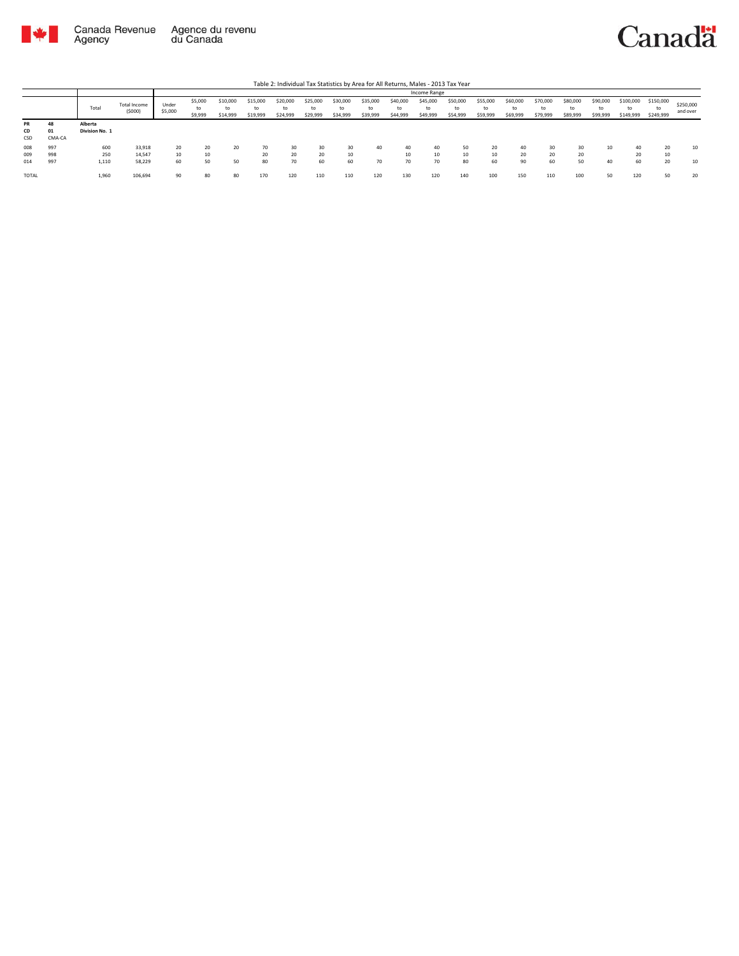

|           |        |                |                        |                  |                          |                            |                            |                            |                            |                      |                            |                            | Income Range               |                            |                            |                            |                            |                            |                            |                              |                              |                       |
|-----------|--------|----------------|------------------------|------------------|--------------------------|----------------------------|----------------------------|----------------------------|----------------------------|----------------------|----------------------------|----------------------------|----------------------------|----------------------------|----------------------------|----------------------------|----------------------------|----------------------------|----------------------------|------------------------------|------------------------------|-----------------------|
|           |        | Total          | Total Income<br>(5000) | Under<br>\$5,000 | \$5,000<br>to<br>\$9,999 | \$10,000<br>to<br>\$14,999 | \$15,000<br>to<br>\$19,999 | \$20,000<br>to<br>\$24,999 | \$25,000<br>to<br>\$29,999 | \$30,000<br>\$34,999 | \$35,000<br>to<br>\$39,999 | \$40,000<br>to<br>\$44,999 | \$45,000<br>to<br>\$49,999 | \$50,000<br>to<br>\$54,999 | \$55,000<br>to<br>\$59,999 | \$60,000<br>to<br>\$69,999 | \$70,000<br>to<br>\$79,999 | \$80,000<br>to<br>\$89,999 | \$90,000<br>to<br>\$99,999 | \$100,000<br>to<br>\$149,999 | \$150,000<br>to<br>\$249,999 | \$250,000<br>and over |
| <b>PR</b> | 48     | Alberta        |                        |                  |                          |                            |                            |                            |                            |                      |                            |                            |                            |                            |                            |                            |                            |                            |                            |                              |                              |                       |
| CD        | 01     | Division No. 1 |                        |                  |                          |                            |                            |                            |                            |                      |                            |                            |                            |                            |                            |                            |                            |                            |                            |                              |                              |                       |
| CSD       | CMA-CA |                |                        |                  |                          |                            |                            |                            |                            |                      |                            |                            |                            |                            |                            |                            |                            |                            |                            |                              |                              |                       |
| 008       | 997    | 600            | 33,918                 | 20               | 20                       | 20                         | 70                         | 30                         | 30                         |                      | 40                         | 40                         | 40                         | 50                         | 20                         | 40                         | 30                         | 30                         | 10                         | 40                           | 20                           | 10                    |
| 009       | 998    | 250            | 14.547                 | 10               | 10                       |                            | 20                         | 20                         | 20                         | 10                   |                            | 10                         | 10                         | 10                         | 10                         | 20                         | 20                         | 20                         |                            | 20                           | 10                           |                       |
| 014       | 997    | 1,110          | 58.229                 | 60               | 50                       | 50                         | 80                         | 70                         | 60                         | 60                   | 70                         | 70                         | 70                         | 80                         | 60                         | 90                         | 60                         | 50                         | 40                         | 60                           | 20                           | 10                    |
| TOTAL     |        | 1,960          | 106,694                |                  | 80                       | 80                         | 170                        | 120                        | 110                        | 110                  | 120                        | 130                        | 120                        | 140                        | 100                        | 150                        | 110                        | 100                        | 50                         | 120                          | 50                           | 20                    |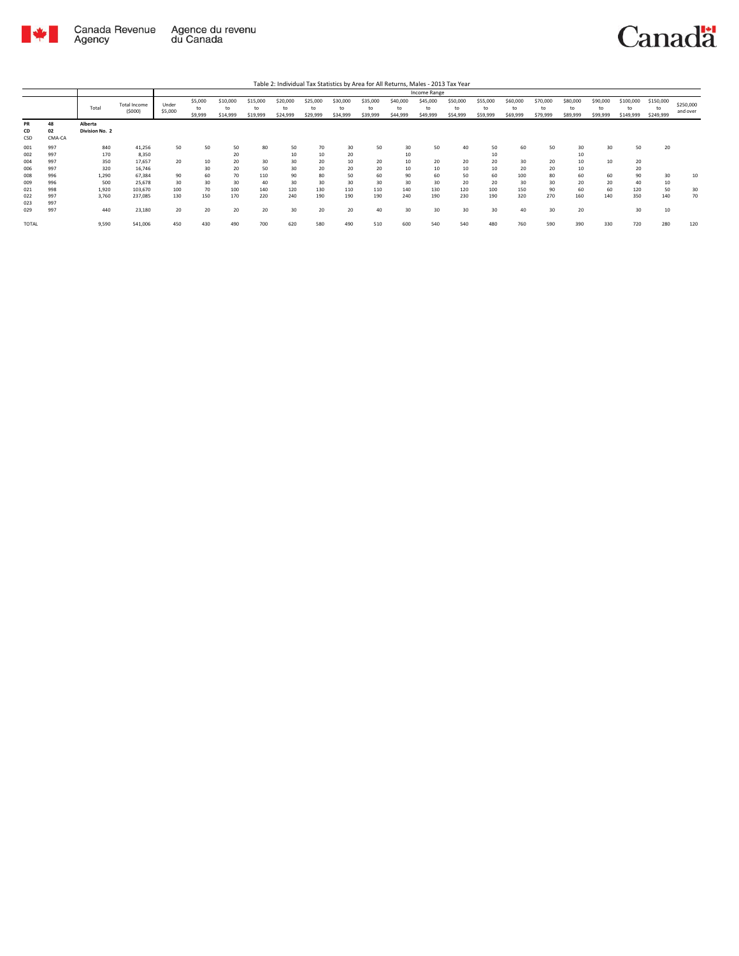

|                        |                    |                           |                               |                  |                          |                            |                            |                            |                            |                            |                            |                            | Income Range               |                            |                            |                            |                            |                            |                            |                              |                              |                       |
|------------------------|--------------------|---------------------------|-------------------------------|------------------|--------------------------|----------------------------|----------------------------|----------------------------|----------------------------|----------------------------|----------------------------|----------------------------|----------------------------|----------------------------|----------------------------|----------------------------|----------------------------|----------------------------|----------------------------|------------------------------|------------------------------|-----------------------|
|                        |                    | Total                     | <b>Total Income</b><br>(5000) | Under<br>\$5,000 | \$5,000<br>to<br>\$9,999 | \$10,000<br>to<br>\$14,999 | \$15,000<br>to<br>\$19,999 | \$20,000<br>to<br>\$24,999 | \$25,000<br>to<br>\$29,999 | \$30,000<br>to<br>\$34,999 | \$35,000<br>to<br>\$39,999 | \$40,000<br>to<br>\$44,999 | \$45,000<br>to<br>\$49,999 | \$50,000<br>to<br>\$54,999 | \$55,000<br>to<br>\$59,999 | \$60,000<br>to<br>\$69,999 | \$70,000<br>to<br>\$79,999 | \$80,000<br>to<br>\$89,999 | \$90,000<br>to<br>\$99,999 | \$100,000<br>to<br>\$149,999 | \$150,000<br>to<br>\$249,999 | \$250,000<br>and over |
| <b>PR</b><br>CD<br>CSD | 48<br>02<br>CMA-CA | Alberta<br>Division No. 2 |                               |                  |                          |                            |                            |                            |                            |                            |                            |                            |                            |                            |                            |                            |                            |                            |                            |                              |                              |                       |
| 001<br>002             | 997<br>997         | 840<br>170                | 41,256<br>8,350               | 50               | 50                       | 50<br>20                   | 80                         | 50<br>10                   | 70<br>10                   | 30<br>20                   | 50                         | 30<br>10                   | 50                         | 40                         | 50<br>10                   | 60                         | 50                         | 30<br>10                   | 30                         | 50                           | 20                           |                       |
| 004<br>006             | 997<br>997         | 350<br>320                | 17,657<br>16,746              | 20               | 10<br>30                 | 20<br>20                   | 30<br>50                   | 30<br>30                   | 20<br>20                   | 10<br>20                   | 20<br>20                   | 10<br>10                   | 20<br>10                   | 20<br>10                   | 20<br>10                   | 30<br>20                   | 20<br>20                   | 10<br>10                   | 10                         | 20<br>20                     |                              |                       |
| 008                    | 996                | 1,290                     | 67,384                        | 90               | 60                       | 70                         | 110                        | 90                         | 80                         | 50                         | 60                         | 90                         | 60                         | 50                         | 60                         | 100                        | 80                         | 60                         | 60                         | 90                           | 30                           | 10                    |
| 009<br>021             | 996<br>998         | 500<br>1,920              | 25,678<br>103,670             | 30<br>100        | 30<br>70                 | 30<br>100                  | 40<br>140                  | 30<br>120                  | 30<br>130                  | 30<br>110                  | 30<br>110                  | 30<br>140                  | 30<br>130                  | 20<br>120                  | 20<br>100                  | 30<br>150                  | 30<br>90                   | 20<br>60                   | 20<br>60                   | 40<br>120                    | 10<br>50                     | 30                    |
| 022<br>023             | 997<br>997         | 3.760                     | 237.085                       | 130              | 150                      | 170                        | 220                        | 240                        | 190                        | 190                        | 190                        | 240                        | 190                        | 230                        | 190                        | 320                        | 270                        | 160                        | 140                        | 350                          | 140                          | 70                    |
| 029                    | 997                | 440                       | 23,180                        | 20               | 20                       | 20                         | 20                         | 30                         | 20                         | 20                         | 40                         | 30                         | 30                         | 30                         | 30                         | 40                         | 30                         | 20                         |                            | 30                           | 10                           |                       |
| <b>TOTAL</b>           |                    | 9,590                     | 541,006                       | 450              | 430                      | 490                        | 700                        | 620                        | 580                        | 490                        | 510                        | 600                        | 540                        | 540                        | 480                        | 760                        | 590                        | 390                        | 330                        | 720                          | 280                          | 120                   |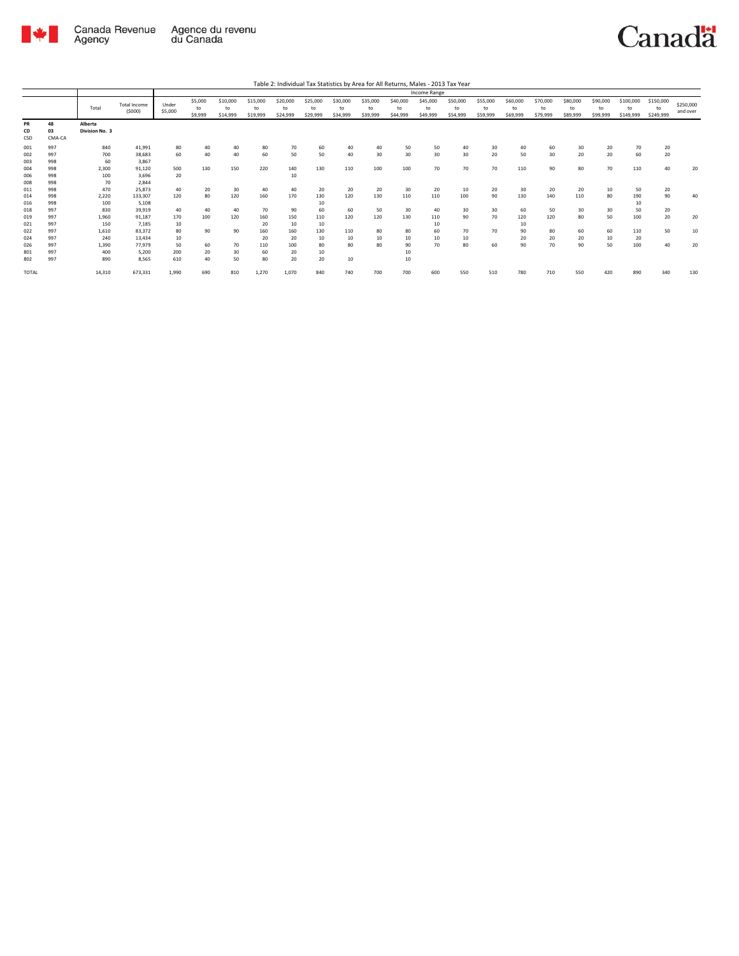

|                   |                    |                           |                               |                  |                          |                            |                            |                            |                            |                            |                            |                            | Income Range               |                            |                            |                            |                            |                            |                            |                              |                              |                       |
|-------------------|--------------------|---------------------------|-------------------------------|------------------|--------------------------|----------------------------|----------------------------|----------------------------|----------------------------|----------------------------|----------------------------|----------------------------|----------------------------|----------------------------|----------------------------|----------------------------|----------------------------|----------------------------|----------------------------|------------------------------|------------------------------|-----------------------|
|                   |                    | Total                     | <b>Total Income</b><br>(5000) | Under<br>\$5,000 | \$5,000<br>to<br>\$9,999 | \$10,000<br>to<br>\$14,999 | \$15,000<br>to<br>\$19,999 | \$20,000<br>to<br>\$24,999 | \$25,000<br>to<br>\$29,999 | \$30,000<br>to<br>\$34,999 | \$35,000<br>to<br>\$39,999 | \$40,000<br>to<br>\$44,999 | \$45,000<br>to<br>\$49,999 | \$50,000<br>to<br>\$54,999 | \$55,000<br>to<br>\$59,999 | \$60,000<br>to<br>\$69,999 | \$70,000<br>to<br>\$79,999 | \$80,000<br>to<br>\$89,999 | \$90,000<br>to<br>\$99,999 | \$100,000<br>to<br>\$149,999 | \$150,000<br>to<br>\$249,999 | \$250,000<br>and over |
| PR<br>CD<br>CSD   | 48<br>03<br>CMA-CA | Alberta<br>Division No. 3 |                               |                  |                          |                            |                            |                            |                            |                            |                            |                            |                            |                            |                            |                            |                            |                            |                            |                              |                              |                       |
| 001<br>002<br>003 | 997<br>997<br>998  | 840<br>700<br>60          | 41,991<br>38.683<br>3,867     | 80<br>60         | 40<br>40                 | 40<br>40                   | 80<br>60                   | 70<br>50                   | 60<br>50                   | 40<br>40                   | 40<br>30                   | 50<br>30                   | 50<br>30                   | 40<br>30                   | 30<br>20                   | 40<br>50                   | 60<br>30                   | 30<br>20                   | 20<br>20                   | 70<br>60                     | 20<br>20                     |                       |
| 004<br>006<br>008 | 998<br>998<br>998  | 2.300<br>100<br>70        | 91.120<br>3.696<br>2.844      | 500<br>20        | 130                      | 150                        | 220                        | 140<br>10                  | 130                        | 110                        | 100                        | 100                        | 70                         | 70                         | 70                         | 110                        | 90                         | 80                         | 70                         | 110                          | 40                           | 20                    |
| 011<br>014<br>016 | 998<br>998<br>998  | 470<br>2,220<br>100       | 25,873<br>133,307<br>5,108    | 40<br>120        | 20<br>80                 | 30<br>120                  | 40<br>160                  | 40<br>170                  | 20<br>130<br>10            | 20<br>120                  | 20<br>130                  | 30<br>110                  | 20<br>110                  | 10<br>100                  | 20<br>90                   | 30<br>130                  | 20<br>140                  | 20<br>110                  | 10<br>80                   | 50<br>190<br>10              | 20<br>90                     | 40                    |
| 018<br>019<br>021 | 997<br>997<br>997  | 830<br>1.960<br>150       | 39.919<br>91.187<br>7.185     | 40<br>170<br>10  | 40<br>100                | 40<br>120                  | 70<br>160<br>20            | 90<br>150<br>10            | 60<br>110<br>10            | 60<br>120                  | 50<br>120                  | 30<br>130                  | 40<br>110<br>10            | 30<br>90                   | 30<br>70                   | 60<br>120<br>10            | 50<br>120                  | 30<br>80                   | 30<br>50                   | 50<br>100                    | 20<br>20                     | 20                    |
| 022<br>024<br>026 | 997<br>997<br>997  | 1.610<br>240<br>1.390     | 83.372<br>13.434<br>77.979    | 80<br>10<br>50   | 90<br>60                 | 90<br>70                   | 160<br>20<br>110           | 160<br>20<br>100           | 130<br>10<br>80            | 110<br>10<br>80            | 80<br>10<br>80             | 80<br>10<br>90             | 60<br>10<br>70             | 70<br>10<br>80             | 70<br>60                   | 90<br>20<br>90             | 80<br>20<br>70             | 60<br>20<br>90             | 60<br>10<br>50             | 110<br>20<br>100             | 50<br>40                     | 10<br>20              |
| 801<br>802        | 997<br>997         | 400<br>890                | 5.200<br>8.565                | 200<br>610       | 20<br>40                 | 30<br>50                   | 60<br>80                   | 20<br>20                   | 10<br>20                   | 10                         |                            | 10<br>10                   |                            |                            |                            |                            |                            |                            |                            |                              |                              |                       |
| <b>TOTAL</b>      |                    | 14,310                    | 673,331                       | 1,990            | 690                      | 810                        | 1,270                      | 1,070                      | 840                        | 740                        | 700                        | 700                        | 600                        | 550                        | 510                        | 780                        | 710                        | 550                        | 420                        | 890                          | 340                          | 130                   |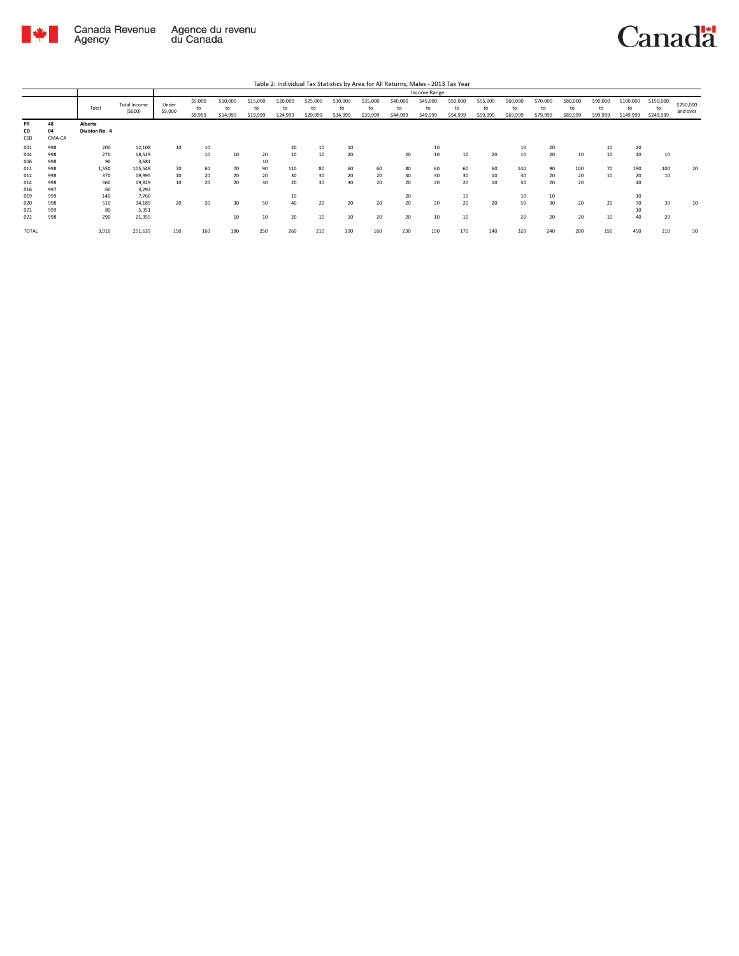

|                        |                    |                           |                               |                  |                          |                            |                            |                            |                            |                            |                            |                            | Income Range               |                            |                            |                            |                            |                            |                            |                              |                              |                       |
|------------------------|--------------------|---------------------------|-------------------------------|------------------|--------------------------|----------------------------|----------------------------|----------------------------|----------------------------|----------------------------|----------------------------|----------------------------|----------------------------|----------------------------|----------------------------|----------------------------|----------------------------|----------------------------|----------------------------|------------------------------|------------------------------|-----------------------|
|                        |                    | Total                     | <b>Total Income</b><br>(5000) | Under<br>\$5,000 | \$5,000<br>to<br>\$9,999 | \$10,000<br>to<br>\$14,999 | \$15,000<br>to<br>\$19,999 | \$20,000<br>to<br>\$24,999 | \$25,000<br>to<br>\$29,999 | \$30,000<br>to<br>\$34,999 | \$35,000<br>to<br>\$39,999 | \$40,000<br>to<br>\$44,999 | \$45,000<br>to<br>\$49,999 | \$50,000<br>to<br>\$54,999 | \$55,000<br>to<br>\$59,999 | \$60,000<br>to<br>\$69,999 | \$70,000<br>to<br>\$79,999 | \$80,000<br>to<br>\$89,999 | \$90,000<br>to<br>\$99,999 | \$100,000<br>to<br>\$149,999 | \$150,000<br>to<br>\$249,999 | \$250,000<br>and over |
| <b>PR</b><br>CD<br>CSD | 48<br>04<br>CMA-CA | Alberta<br>Division No. 4 |                               |                  |                          |                            |                            |                            |                            |                            |                            |                            |                            |                            |                            |                            |                            |                            |                            |                              |                              |                       |
| 001                    | 998                | 200                       | 12,108                        | 10               | 10                       |                            |                            | 20                         | 10                         | 10                         |                            |                            | 10                         |                            |                            | 10                         | 20                         |                            | 10                         | 20                           |                              |                       |
| 004                    | 998                | 270                       | 18,529                        |                  | 10                       | 10                         | 20                         | 10                         | 10                         | 20                         |                            | 20                         | 10                         | 10                         | 20                         | 10                         | 20                         | 10                         | 10                         | 40                           | 10                           |                       |
| 006                    | 998                | 90                        | 3,681                         |                  |                          |                            | 10                         |                            |                            |                            |                            |                            |                            |                            |                            |                            |                            |                            |                            |                              |                              |                       |
| 011                    | 998                | 1.550                     | 105,548                       | 70               | 60                       | 70                         | 90                         | 110                        | 80                         | 60                         | 60                         | 80                         | 60                         | 60                         | 60                         | 140                        | 90                         | 100                        | 70                         | 190                          | 100                          | 20                    |
| 012                    | 998                | 370                       | 19,995                        | 10               | 20                       | 20                         | 20                         | 30                         | 30                         | 20                         | 20                         | 30                         | 30                         | 30                         | 10                         | 30                         | 20                         | 20                         | 10                         | 20                           | 10                           |                       |
| 014                    | 998                | 360                       | 19,829                        | 10               | 20                       | 20                         | 30                         | 20                         | 30                         | 30                         | 20                         | 20                         | 20                         | 20                         | 10                         | 30                         | 20                         | 20                         |                            | 40                           |                              |                       |
| 016                    | 997                | 60                        | 3,292                         |                  |                          |                            |                            |                            |                            |                            |                            |                            |                            |                            |                            |                            |                            |                            |                            |                              |                              |                       |
| 019                    | 999                | 140                       | 7,760                         |                  |                          |                            |                            | 10                         |                            |                            |                            | 20                         |                            | 10                         |                            | 10                         | 10                         |                            |                            | 10                           |                              |                       |
| 020                    | 998                | 510                       | 34,189                        | 20               | 20                       | 30                         | 50                         | 40                         | 20                         | 20                         | 20                         | 20                         | 20                         | 20                         | 20                         | 50                         | 30                         | 20                         | 20                         | 70                           | 30                           | 10                    |
| 021                    | 999                | 80                        | 5,351                         |                  |                          |                            |                            |                            |                            |                            |                            |                            |                            |                            |                            |                            |                            |                            |                            | 10                           |                              |                       |
| 022                    | 998                | 290                       | 21,355                        |                  |                          | 10                         | 10                         | 20                         | 10                         | 10                         | 20                         | 20                         | 10                         | 10                         |                            | 20                         | 20                         | 20                         | 10                         | 40                           | 20                           |                       |
| TOTAL                  |                    | 3,910                     | 251,639                       | 150              | 160                      | 180                        | 250                        | 260                        | 210                        | 190                        | 160                        | 230                        | 190                        | 170                        | 140                        | 320                        | 240                        | 200                        | 150                        | 450                          | 210                          | 50                    |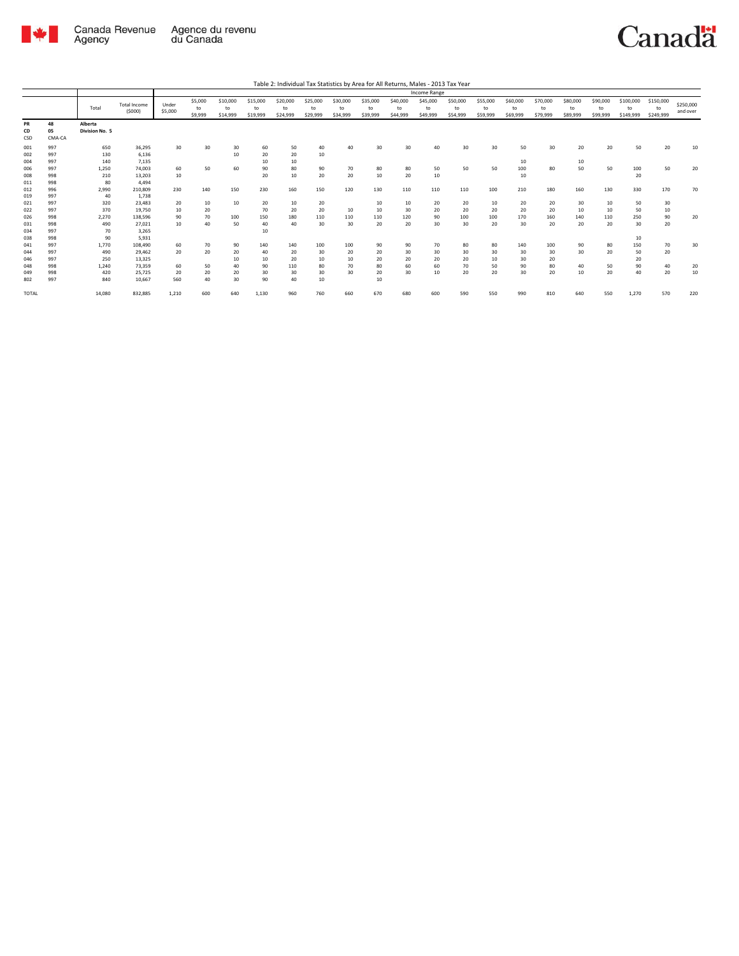

|                   |                    |                           |                               |                  |                          |                            |                            |                            |                            |                            |                            |                            | Income Range               |                            |                            |                            |                            |                            |                            |                              |                              |                       |
|-------------------|--------------------|---------------------------|-------------------------------|------------------|--------------------------|----------------------------|----------------------------|----------------------------|----------------------------|----------------------------|----------------------------|----------------------------|----------------------------|----------------------------|----------------------------|----------------------------|----------------------------|----------------------------|----------------------------|------------------------------|------------------------------|-----------------------|
|                   |                    | Total                     | <b>Total Income</b><br>(5000) | Under<br>\$5,000 | \$5,000<br>to<br>\$9,999 | \$10,000<br>to<br>\$14,999 | \$15,000<br>to<br>\$19,999 | \$20,000<br>to<br>\$24,999 | \$25,000<br>to<br>\$29,999 | \$30,000<br>to<br>\$34,999 | \$35,000<br>to<br>\$39,999 | \$40,000<br>to<br>\$44,999 | \$45,000<br>to<br>\$49,999 | \$50,000<br>to<br>\$54,999 | \$55,000<br>to<br>\$59,999 | \$60,000<br>to<br>\$69,999 | \$70,000<br>to<br>\$79,999 | \$80,000<br>to<br>\$89,999 | \$90,000<br>to<br>\$99,999 | \$100,000<br>to<br>\$149,999 | \$150,000<br>to<br>\$249,999 | \$250,000<br>and over |
| PR<br>CD<br>CSD   | 48<br>05<br>CMA-CA | Alberta<br>Division No. 5 |                               |                  |                          |                            |                            |                            |                            |                            |                            |                            |                            |                            |                            |                            |                            |                            |                            |                              |                              |                       |
| 001<br>002<br>004 | 997<br>997<br>997  | 650<br>130<br>140         | 36,295<br>6,136<br>7,135      | 30               | 30                       | 30<br>10                   | 60<br>20<br>10             | 50<br>20<br>10             | 40<br>10                   | 40                         | 30                         | 30                         | 40                         | 30                         | 30                         | 50<br>10                   | 30                         | 20<br>10                   | 20                         | 50                           | 20                           | 10                    |
| 006<br>008<br>011 | 997<br>998<br>998  | 1,250<br>210<br>80        | 74.003<br>13.203<br>4.494     | 60<br>10         | 50                       | 60                         | 90<br>20                   | 80<br>10                   | 90<br>20                   | 70<br>20                   | 80<br>10                   | 80<br>20                   | 50<br>10                   | 50                         | 50                         | 100<br>10                  | 80                         | 50                         | 50                         | 100<br>20                    | 50                           | 20                    |
| 012<br>019<br>021 | 996<br>997<br>997  | 2.990<br>40<br>320        | 210,809<br>1.738<br>23,483    | 230<br>20        | 140<br>10                | 150<br>10                  | 230<br>20                  | 160<br>10                  | 150<br>20                  | 120                        | 130<br>10                  | 110<br>10                  | 110<br>20                  | 110<br>20                  | 100<br>10                  | 210<br>20                  | 180<br>20                  | 160<br>30                  | 130<br>10                  | 330<br>50                    | 170<br>30                    | 70                    |
| 022<br>026<br>031 | 997<br>998<br>998  | 370<br>2,270<br>490       | 19,750<br>138,596<br>27.021   | 10<br>90<br>10   | 20<br>70<br>40           | 100<br>50                  | 70<br>150<br>40            | 20<br>180<br>40            | 20<br>110<br>30            | 10<br>110<br>30            | 10<br>110<br>20            | 30<br>120<br>20            | 20<br>90<br>30             | 20<br>100<br>30            | 20<br>100<br>20            | 20<br>170<br>30            | 20<br>160<br>20            | 10<br>140<br>20            | 10<br>110<br>20            | 50<br>250<br>30              | 10<br>90<br>20               | 20                    |
| 034<br>038<br>041 | 997<br>998<br>997  | 70<br>90<br>1.770         | 3,265<br>5,931<br>108,490     | 60               | 70                       | 90                         | 10<br>140                  | 140                        | 100                        | 100                        | 90                         | 90                         | 70                         | 80                         | 80                         | 140                        | 100                        | 90                         | 80                         | 10<br>150                    | 70                           | 30                    |
| 044<br>046<br>048 | 997<br>997<br>998  | 490<br>250<br>1.240       | 29.462<br>13,325<br>73,359    | 20<br>60         | 20<br>50                 | 20<br>10<br>40             | 40<br>10<br>90             | 20<br>20<br>110            | 30<br>10<br>80             | 20<br>10<br>70             | 20<br>20<br>80             | 30<br>20<br>60             | 30<br>20<br>60             | 30<br>20<br>70             | 30<br>10<br>50             | 30<br>30<br>90             | 30<br>20<br>80             | 30<br>40                   | 20<br>50                   | 50<br>20<br>90               | 20<br>40                     | 20                    |
| 049<br>802        | 998<br>997         | 420<br>840                | 25,725<br>10.667              | 20<br>560        | 20<br>40                 | 20<br>30                   | 30<br>90                   | 30<br>40                   | 30<br>10                   | 30                         | 20<br>10                   | 30                         | 10                         | 20                         | 20                         | 30                         | 20                         | 10                         | 20                         | 40                           | 20                           | 10                    |
| <b>TOTAL</b>      |                    | 14,080                    | 832,885                       | 1,210            | 600                      | 640                        | 1,130                      | 960                        | 760                        | 660                        | 670                        | 680                        | 600                        | 590                        | 550                        | 990                        | 810                        | 640                        | 550                        | 1,270                        | 570                          | 220                   |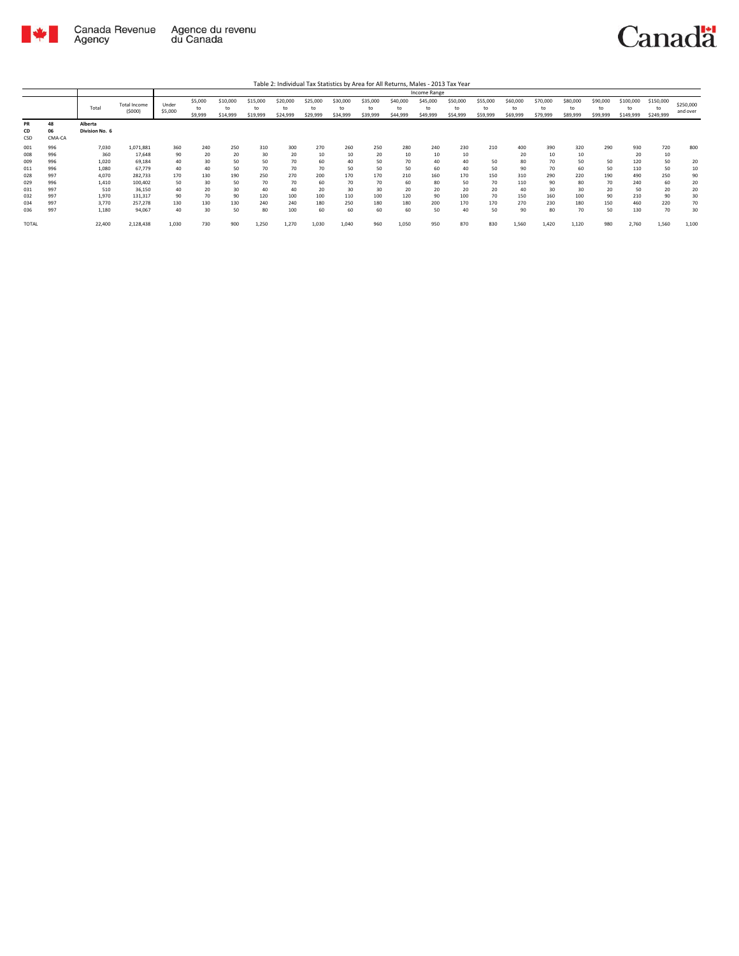

|                        |                    |                           |                               |                  |                          |                            |                            |                            |                            |                            |                            |                            | Income Range               |                            |                            |                            |                            |                            |                            |                              |                              |                       |
|------------------------|--------------------|---------------------------|-------------------------------|------------------|--------------------------|----------------------------|----------------------------|----------------------------|----------------------------|----------------------------|----------------------------|----------------------------|----------------------------|----------------------------|----------------------------|----------------------------|----------------------------|----------------------------|----------------------------|------------------------------|------------------------------|-----------------------|
|                        |                    | Total                     | <b>Total Income</b><br>(5000) | Under<br>\$5,000 | \$5,000<br>to<br>\$9,999 | \$10,000<br>to<br>\$14,999 | \$15,000<br>to<br>\$19,999 | \$20,000<br>to<br>\$24,999 | \$25,000<br>to<br>\$29,999 | \$30,000<br>to<br>\$34,999 | \$35,000<br>to<br>\$39,999 | \$40,000<br>to<br>\$44,999 | \$45,000<br>to<br>\$49,999 | \$50,000<br>to<br>\$54,999 | \$55,000<br>to<br>\$59,999 | \$60,000<br>to<br>\$69,999 | \$70,000<br>to<br>\$79,999 | \$80,000<br>to<br>\$89,999 | \$90,000<br>to<br>\$99,999 | \$100,000<br>to<br>\$149,999 | \$150,000<br>to<br>\$249,999 | \$250,000<br>and over |
| <b>PR</b><br>CD<br>CSD | 48<br>06<br>CMA-CA | Alberta<br>Division No. 6 |                               |                  |                          |                            |                            |                            |                            |                            |                            |                            |                            |                            |                            |                            |                            |                            |                            |                              |                              |                       |
| 001                    | 996                | 7,030                     | 1,071,881                     | 360              | 240                      | 250                        | 310                        | 300                        | 270                        | 260                        | 250                        | 280                        | 240                        | 230                        | 210                        | 400                        | 390                        | 320                        | 290                        | 930                          | 720                          | 800                   |
| 008                    | 996                | 360                       | 17.648                        | 90               | 20                       | 20                         | 30                         | 20                         | 10                         | 10                         | 20                         | 10                         |                            | 10                         |                            | 20                         | 10                         | 10                         |                            | 20                           | 10                           |                       |
| 009                    | 996                | 1,020                     | 69,184                        | 40               | 30                       | 50                         | 50                         | 70                         | 60                         | 40                         | 50                         | 70                         | 40                         | 40                         | 50                         | 80                         | 70                         | 50                         | 50                         | 120                          | 50                           | 20                    |
| 011                    | 996                | 1,080                     | 67,779                        | 40               | 40                       | 50                         | 70                         | 70                         | 70                         | 50                         | 50                         | 50                         | 60                         | 40                         | 50                         | 90                         | 70                         | 60                         | 50                         | 110                          | 50                           | 10                    |
| 028                    | 997                | 4,070                     | 282,733                       | 170              | 130                      | 190                        | 250                        | 270                        | 200                        | 170                        | 170                        | 210                        | 160                        | 170                        | 150                        | 310                        | 290                        | 220                        | 190                        | 490                          | 250                          | 90                    |
| 029                    | 996                | 1.410                     | 100,402                       | 50               | 30                       | 50                         | 70                         | 70                         | 60                         | 70                         | 70                         | 60                         | 80                         | 50                         | 70                         | 110                        | 90                         | 80                         | 70                         | 240                          | 60                           | 20                    |
| 031                    | 997                | 510                       | 36,150                        | 40               | 20                       | 30                         | 40                         | 40                         | 20                         | 30                         | 30                         | 20                         | 20                         | 20                         | 20                         | 40                         | 30                         | 30                         | 20                         | 50                           | 20                           | 20                    |
| 032                    | 997                | 1,970                     | 131,317                       | 90               | 70                       | 90                         | 120                        | 100                        | 100                        | 110                        | 100                        | 120                        | 90                         | 100                        | 70                         | 150                        | 160                        | 100                        | 90                         | 210                          | 90                           | 30                    |
| 034                    | 997                | 3,770                     | 257,278                       | 130              | 130                      | 130                        | 240                        | 240                        | 180                        | 250                        | 180                        | 180                        | 200                        | 170                        | 170                        | 270                        | 230                        | 180                        | 150                        | 460                          | 220                          | 70                    |
| 036                    | 997                | 1,180                     | 94,067                        | 40               | 30                       | 50                         | 80                         | 100                        | 60                         | 60                         | 60                         | 60                         | 50                         | 40                         | 50                         | 90                         | 80                         | 70                         | 50                         | 130                          | 70                           | 30                    |
| <b>TOTAL</b>           |                    | 22,400                    | 2,128,438                     | 1.030            | 730                      | 900                        | 1,250                      | 1,270                      | 1,030                      | 1.040                      | 960                        | 1,050                      | 950                        | 870                        | 830                        | 1,560                      | 1,420                      | 1,120                      | 980                        | 2.760                        | 1,560                        | 1,100                 |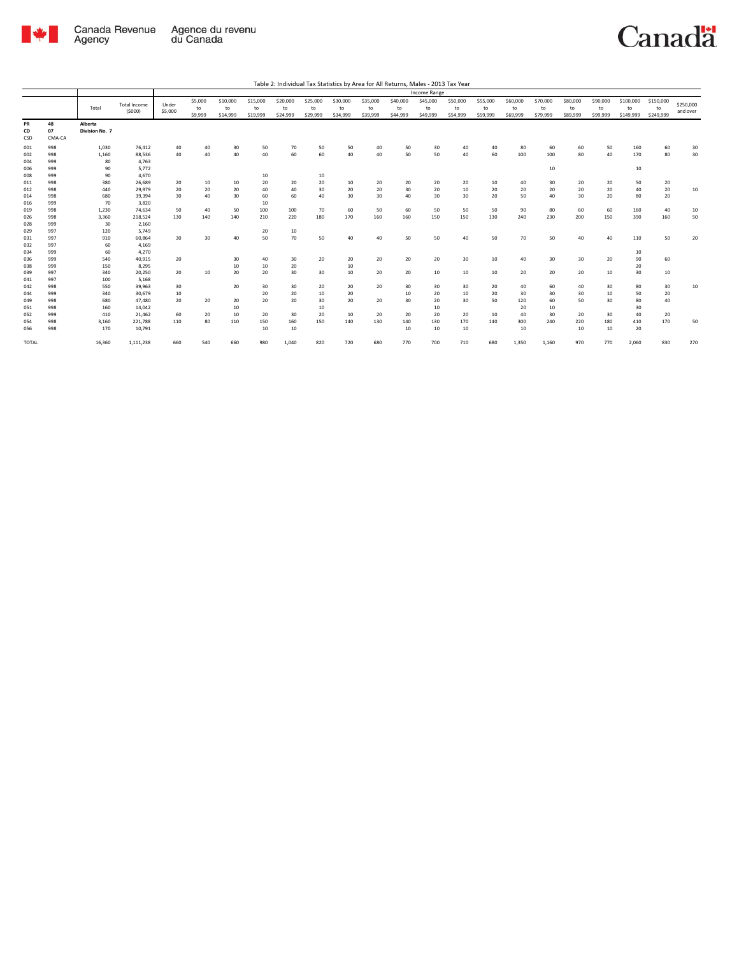

|                 |                    |                           |                               |                  |                          |                            |                            |                            |                            |                            |                            |                            | Income Range               |                            |                            |                            |                            |                            |                            |                              |                              |                       |
|-----------------|--------------------|---------------------------|-------------------------------|------------------|--------------------------|----------------------------|----------------------------|----------------------------|----------------------------|----------------------------|----------------------------|----------------------------|----------------------------|----------------------------|----------------------------|----------------------------|----------------------------|----------------------------|----------------------------|------------------------------|------------------------------|-----------------------|
|                 |                    | Total                     | <b>Total Income</b><br>(5000) | Under<br>\$5,000 | \$5,000<br>to<br>\$9,999 | \$10,000<br>to<br>\$14,999 | \$15,000<br>to<br>\$19,999 | \$20,000<br>to<br>\$24,999 | \$25,000<br>to<br>\$29,999 | \$30,000<br>to<br>\$34,999 | \$35,000<br>to<br>\$39,999 | \$40,000<br>to<br>\$44,999 | \$45,000<br>to<br>\$49,999 | \$50,000<br>to<br>\$54,999 | \$55,000<br>to<br>\$59,999 | \$60,000<br>to<br>\$69,999 | \$70,000<br>to<br>\$79,999 | \$80,000<br>to<br>\$89,999 | \$90,000<br>to<br>\$99,999 | \$100,000<br>to<br>\$149,999 | \$150,000<br>to<br>\$249,999 | \$250,000<br>and over |
| PR<br>CD<br>CSD | 48<br>07<br>CMA-CA | Alberta<br>Division No. 7 |                               |                  |                          |                            |                            |                            |                            |                            |                            |                            |                            |                            |                            |                            |                            |                            |                            |                              |                              |                       |
| 001             | 998                | 1.030                     | 76,412                        | 40               | 40                       | 30                         | 50                         | 70                         | 50                         | 50                         | 40                         | 50                         | 30                         | 40                         | 40                         | 80                         | 60                         | 60                         | 50                         | 160                          | 60                           | 30                    |
| 002             | 998                | 1,160                     | 88,536                        | 40               | 40                       | 40                         | 40                         | 60                         | 60                         | 40                         | 40                         | 50                         | 50                         | 40                         | 60                         | 100                        | 100                        | 80                         | 40                         | 170                          | 80                           | 30                    |
| 004             | 999                | 80                        | 4.763                         |                  |                          |                            |                            |                            |                            |                            |                            |                            |                            |                            |                            |                            |                            |                            |                            |                              |                              |                       |
| 006             | 999                | 90                        | 5.772                         |                  |                          |                            |                            |                            |                            |                            |                            |                            |                            |                            |                            |                            | 10                         |                            |                            | 10                           |                              |                       |
| 008             | 999                | 90                        | 4,670                         |                  |                          |                            | 10                         |                            | 10                         |                            |                            |                            |                            |                            |                            |                            |                            |                            |                            |                              |                              |                       |
| 011             | 998                | 380                       | 26,689                        | 20               | 10                       | 10                         | 20                         | 20                         | 20                         | 10                         | 20                         | 20                         | 20                         | 20                         | 10                         | 40                         | 30                         | 20                         | 20                         | 50                           | 20                           |                       |
| 012             | 998                | 440                       | 29,979                        | 20               | 20                       | 20                         | 40                         | 40                         | 30                         | 20                         | 20                         | 30                         | 20                         | 10                         | 20                         | 20                         | 20                         | 20                         | 20                         | 40                           | 20                           | 10                    |
| 014             | 998                | 680                       | 39,394                        | 30               | 40                       | 30                         | 60                         | 60                         | 40                         | 30                         | 30                         | 40                         | 30                         | 30                         | 20                         | 50                         | 40                         | 30                         | 20                         | 80                           | 20                           |                       |
| 016             | 999                | 70                        | 3,820                         |                  |                          |                            | 10                         |                            |                            |                            |                            |                            |                            |                            |                            |                            |                            |                            |                            |                              |                              |                       |
| 019             | 998                | 1.230                     | 74,634                        | 50               | 40                       | 50                         | 100                        | 100                        | 70                         | 60                         | 50                         | 60                         | 50                         | 50                         | 50                         | 90                         | 80                         | 60                         | 60                         | 160                          | 40                           | 10                    |
| 026             | 998                | 3,360                     | 218,524                       | 130              | 140                      | 140                        | 210                        | 220                        | 180                        | 170                        | 160                        | 160                        | 150                        | 150                        | 130                        | 240                        | 230                        | 200                        | 150                        | 390                          | 160                          | 50                    |
| 028             | 999                | 30                        | 2,160                         |                  |                          |                            |                            |                            |                            |                            |                            |                            |                            |                            |                            |                            |                            |                            |                            |                              |                              |                       |
| 029             | 997                | 120                       | 5.749                         |                  |                          |                            | 20                         | 10                         |                            |                            |                            |                            |                            |                            |                            |                            |                            |                            |                            |                              |                              |                       |
| 031             | 997                | 910                       | 60,864                        | 30               | 30                       | 40                         | 50                         | 70                         | 50                         | 40                         | 40                         | 50                         | 50                         | 40                         | 50                         | 70                         | 50                         | 40                         | 40                         | 110                          | 50                           | 20                    |
| 032             | 997                | 60                        | 4,169                         |                  |                          |                            |                            |                            |                            |                            |                            |                            |                            |                            |                            |                            |                            |                            |                            |                              |                              |                       |
| 034             | 999                | 60                        | 4,270                         |                  |                          |                            |                            |                            |                            |                            |                            |                            |                            |                            |                            |                            |                            |                            |                            | 10                           |                              |                       |
| 036             | 999                | 540                       | 40.915                        | 20               |                          | 30                         | 40                         | 30                         | 20                         | 20                         | 20                         | 20                         | 20                         | 30                         | 10                         | 40                         | 30                         | 30                         | 20                         | 90                           | 60                           |                       |
| 038             | 999                | 150                       | 8,295                         |                  |                          | 10                         | 10                         | 20                         |                            | 10                         |                            |                            |                            |                            |                            |                            |                            |                            |                            | 20                           |                              |                       |
| 039             | 997                | 340                       | 20,250                        | 20               | 10                       | 20                         | 20                         | 30                         | 30                         | 10                         | 20                         | 20                         | 10                         | 10                         | 10                         | 20                         | 20                         | 20                         | 10                         | 30                           | 10                           |                       |
| 041             | 997<br>998         | 100                       | 5.168                         |                  |                          | 20                         |                            |                            |                            |                            | 20                         |                            |                            |                            |                            |                            |                            |                            |                            |                              |                              |                       |
| 042             |                    | 550                       | 39.963                        | 30               |                          |                            | 30                         | 30                         | 20                         | 20                         |                            | 30                         | 30                         | 30                         | 20                         | 40                         | 60                         | 40                         | 30                         | 80                           | 30                           | 10                    |
| 044<br>049      | 999<br>998         | 340<br>680                | 30.679<br>47,480              | 10<br>20         | 20                       | 20                         | 20<br>20                   | 20<br>20                   | 10<br>30                   | 20<br>20                   | 20                         | 10<br>30                   | 20<br>20                   | 10<br>30                   | 20<br>50                   | 30<br>120                  | 30<br>60                   | 30<br>50                   | 10<br>30                   | 50<br>80                     | 20<br>40                     |                       |
|                 | 998                |                           |                               |                  |                          |                            |                            |                            |                            |                            |                            |                            |                            |                            |                            |                            |                            |                            |                            |                              |                              |                       |
| 051             | 999                | 160<br>410                | 14.042                        |                  |                          | 10<br>10                   |                            |                            | 10<br>20                   | 10                         | 20                         |                            | 10<br>20                   |                            |                            | 20<br>40                   | 10<br>30                   | 20                         |                            | 30<br>40                     |                              |                       |
| 052<br>054      | 998                | 3,160                     | 21,462<br>221,788             | 60<br>110        | 20<br>80                 | 110                        | 20<br>150                  | 30<br>160                  | 150                        | 140                        | 130                        | 20<br>140                  | 130                        | 20<br>170                  | 10<br>140                  | 300                        | 240                        | 220                        | 30<br>180                  | 410                          | 20<br>170                    | 50                    |
|                 | 998                | 170                       |                               |                  |                          |                            |                            |                            |                            |                            |                            |                            |                            | 10                         |                            | 10                         |                            | 10                         | 10                         | 20                           |                              |                       |
| 056<br>TOTAL    |                    | 16,360                    | 10,791<br>1,111,238           | 660              | 540                      | 660                        | 10<br>980                  | 10<br>1,040                | 820                        | 720                        | 680                        | 10<br>770                  | 10<br>700                  | 710                        | 680                        | 1,350                      | 1,160                      | 970                        | 770                        | 2,060                        | 830                          | 270                   |
|                 |                    |                           |                               |                  |                          |                            |                            |                            |                            |                            |                            |                            |                            |                            |                            |                            |                            |                            |                            |                              |                              |                       |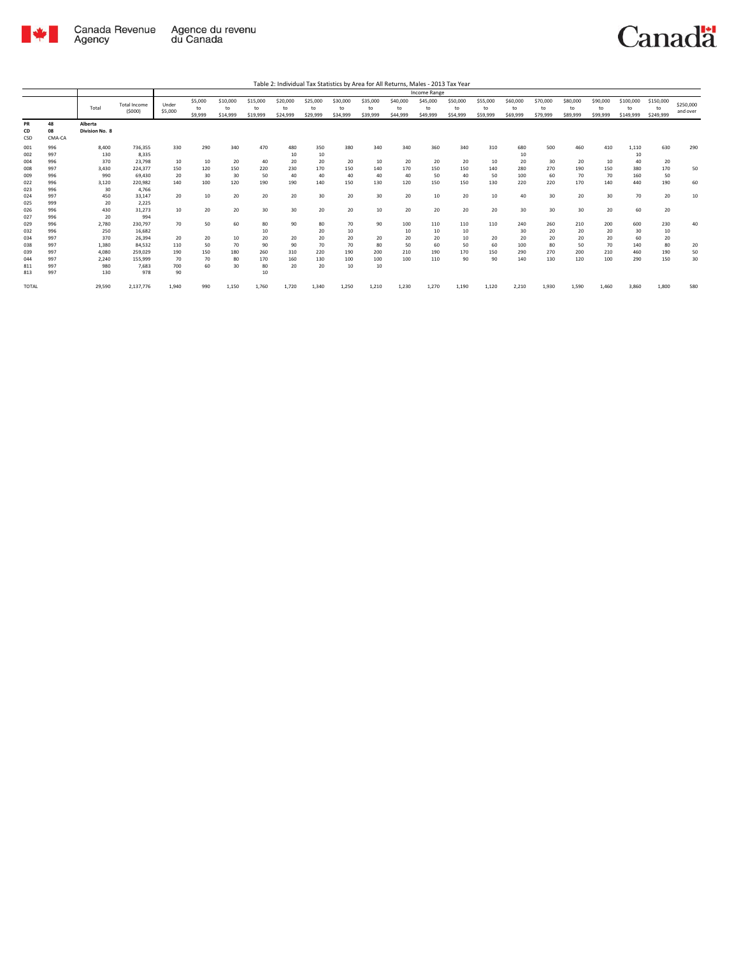

|                                        |                                        |                                              |                                                            |                               |                               |                               |                               |                                     |                                     |                               |                               |                               | Income Range                  |                               |                               |                                      |                               |                               |                               |                                        |                               |                       |
|----------------------------------------|----------------------------------------|----------------------------------------------|------------------------------------------------------------|-------------------------------|-------------------------------|-------------------------------|-------------------------------|-------------------------------------|-------------------------------------|-------------------------------|-------------------------------|-------------------------------|-------------------------------|-------------------------------|-------------------------------|--------------------------------------|-------------------------------|-------------------------------|-------------------------------|----------------------------------------|-------------------------------|-----------------------|
|                                        |                                        | Total                                        | <b>Total Income</b><br>(5000)                              | Under<br>\$5,000              | \$5,000<br>to<br>\$9,999      | \$10,000<br>to<br>\$14,999    | \$15,000<br>to<br>\$19,999    | \$20,000<br>to<br>\$24,999          | \$25,000<br>to<br>\$29,999          | \$30,000<br>to<br>\$34,999    | \$35,000<br>to<br>\$39,999    | \$40,000<br>to<br>\$44,999    | \$45,000<br>to<br>\$49,999    | \$50,000<br>to<br>\$54,999    | \$55,000<br>to<br>\$59,999    | \$60,000<br>to<br>\$69,999           | \$70,000<br>to<br>\$79,999    | \$80,000<br>to<br>\$89,999    | \$90,000<br>to<br>\$99,999    | \$100,000<br>to<br>\$149,999           | \$150,000<br>to<br>\$249,999  | \$250,000<br>and over |
| PR<br>CD<br>CSD                        | 48<br>08<br>CMA-CA                     | Alberta<br>Division No. 8                    |                                                            |                               |                               |                               |                               |                                     |                                     |                               |                               |                               |                               |                               |                               |                                      |                               |                               |                               |                                        |                               |                       |
| 001<br>002<br>004<br>008<br>009<br>022 | 996<br>997<br>996<br>997<br>996<br>996 | 8.400<br>130<br>370<br>3.430<br>990<br>3,120 | 736,355<br>8,335<br>23,798<br>224,377<br>69,430<br>220,982 | 330<br>10<br>150<br>20<br>140 | 290<br>10<br>120<br>30<br>100 | 340<br>20<br>150<br>30<br>120 | 470<br>40<br>220<br>50<br>190 | 480<br>10<br>20<br>230<br>40<br>190 | 350<br>10<br>20<br>170<br>40<br>140 | 380<br>20<br>150<br>40<br>150 | 340<br>10<br>140<br>40<br>130 | 340<br>20<br>170<br>40<br>120 | 360<br>20<br>150<br>50<br>150 | 340<br>20<br>150<br>40<br>150 | 310<br>10<br>140<br>50<br>130 | 680<br>10<br>20<br>280<br>100<br>220 | 500<br>30<br>270<br>60<br>220 | 460<br>20<br>190<br>70<br>170 | 410<br>10<br>150<br>70<br>140 | 1,110<br>10<br>40<br>380<br>160<br>440 | 630<br>20<br>170<br>50<br>190 | 290<br>50<br>60       |
| 023<br>024<br>025<br>026               | 996<br>997<br>999<br>996               | 30<br>450<br>20<br>430                       | 4.766<br>33,147<br>2,225<br>31,273                         | 20<br>10                      | 10<br>20                      | 20<br>20                      | 20<br>30                      | 20<br>30                            | 30<br>20                            | 20<br>20                      | 30<br>10                      | 20<br>20                      | 10<br>20                      | 20<br>20                      | 10<br>20                      | 40<br>30                             | 30<br>30                      | 20<br>30                      | 30<br>20                      | 70<br>60                               | 20<br>20                      | 10                    |
| 027<br>029<br>032<br>034               | 996<br>996<br>996<br>997<br>997        | 20<br>2,780<br>250<br>370                    | 994<br>230,797<br>16.682<br>26,394                         | 70<br>20<br>110               | 50<br>20<br>50                | 60<br>10<br>70                | 80<br>10<br>20<br>90          | 90<br>20<br>90                      | 80<br>20<br>20<br>70                | 70<br>10<br>20<br>70          | 90<br>20<br>80                | 100<br>10<br>20<br>50         | 110<br>10<br>20<br>60         | 110<br>10<br>10<br>50         | 110<br>20<br>60               | 240<br>30<br>20<br>100               | 260<br>20<br>20<br>80         | 210<br>20<br>20<br>50         | 200<br>20<br>20<br>70         | 600<br>30<br>60<br>140                 | 230<br>10<br>20<br>80         | 40                    |
| 038<br>039<br>044<br>811<br>813        | 997<br>997<br>997<br>997               | 1,380<br>4,080<br>2,240<br>980<br>130        | 84,532<br>259,029<br>155,999<br>7.683<br>978               | 190<br>70<br>700<br>90        | 150<br>70<br>60               | 180<br>80<br>30               | 260<br>170<br>80<br>10        | 310<br>160<br>20                    | 220<br>130<br>20                    | 190<br>100<br>10              | 200<br>100<br>10              | 210<br>100                    | 190<br>110                    | 170<br>90                     | 150<br>90                     | 290<br>140                           | 270<br>130                    | 200<br>120                    | 210<br>100                    | 460<br>290                             | 190<br>150                    | 20<br>50<br>30        |
| TOTAL                                  |                                        | 29,590                                       | 2,137,776                                                  | 1,940                         | 990                           | 1,150                         | 1,760                         | 1.720                               | 1,340                               | 1,250                         | 1,210                         | 1.230                         | 1.270                         | 1,190                         | 1,120                         | 2,210                                | 1,930                         | 1,590                         | 1.460                         | 3.860                                  | 1,800                         | 580                   |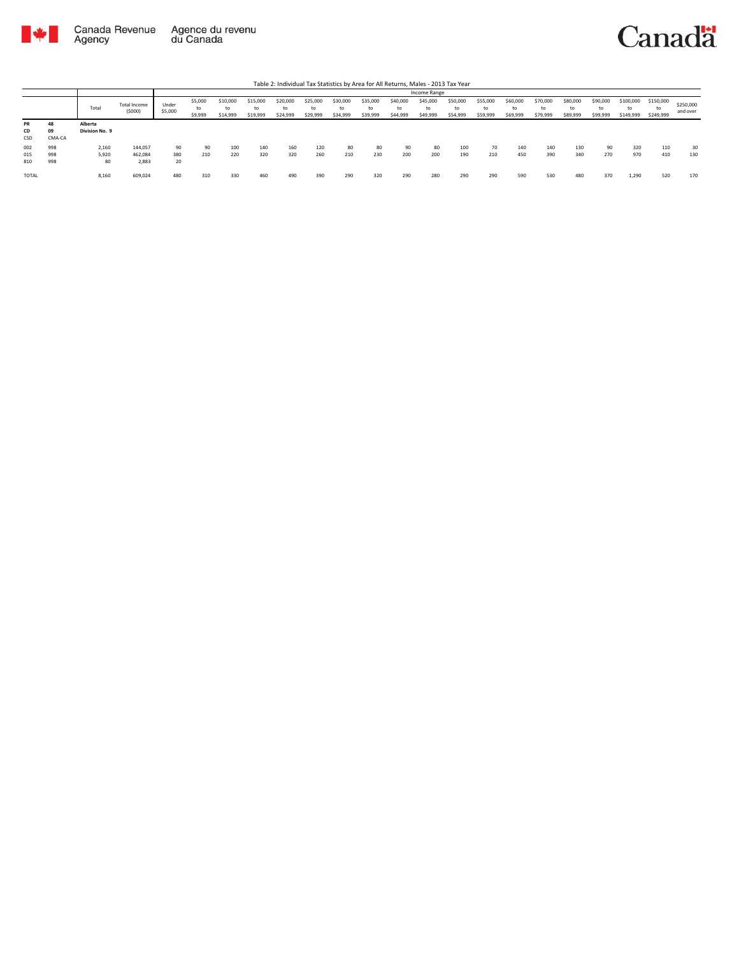

|                   |                    |                           |                             |                  |                          |                            |                            |                            |                            |                            |                            |                            | Income Range               |                            |                            |                            |                            |                            |                            |                              |                              |                       |
|-------------------|--------------------|---------------------------|-----------------------------|------------------|--------------------------|----------------------------|----------------------------|----------------------------|----------------------------|----------------------------|----------------------------|----------------------------|----------------------------|----------------------------|----------------------------|----------------------------|----------------------------|----------------------------|----------------------------|------------------------------|------------------------------|-----------------------|
|                   |                    | Total                     | Total Income<br>(5000)      | Under<br>\$5,000 | \$5,000<br>to<br>\$9,999 | \$10,000<br>to<br>\$14,999 | \$15,000<br>to<br>\$19,999 | \$20,000<br>to<br>\$24,999 | \$25,000<br>to<br>\$29,999 | \$30,000<br>to<br>\$34,999 | \$35,000<br>to<br>\$39,999 | \$40,000<br>to<br>\$44,999 | \$45,000<br>to<br>\$49,999 | \$50,000<br>to<br>\$54,999 | \$55,000<br>to<br>\$59,999 | \$60,000<br>to<br>\$69,999 | \$70,000<br>to<br>\$79,999 | \$80,000<br>to<br>\$89,999 | \$90,000<br>to<br>\$99,999 | \$100,000<br>to<br>\$149,999 | \$150,000<br>to<br>\$249,999 | \$250,000<br>and over |
| PR<br>CD<br>CSD   | 48<br>09<br>CMA-CA | Alberta<br>Division No. 9 |                             |                  |                          |                            |                            |                            |                            |                            |                            |                            |                            |                            |                            |                            |                            |                            |                            |                              |                              |                       |
| 002<br>015<br>810 | 998<br>998<br>998  | 2,160<br>5,920<br>80      | 144,057<br>462,084<br>2.883 | 90<br>380<br>20  | 90<br>210                | 100<br>220                 | 140<br>320                 | 160<br>320                 | 120<br>260                 | 80<br>210                  | 80<br>230                  | 90<br>200                  | 80<br>200                  | 100<br>190                 | 70<br>210                  | 140<br>450                 | 140<br>390                 | 130<br>340                 | 90<br>270                  | 320<br>970                   | 110<br>410                   | 30<br>130             |
| TOTAL             |                    | 8,160                     | 609,024                     | 480              | 310                      | 330                        | 460                        | 490                        | 390                        | 290                        | 320                        | 290                        | 280                        | 290                        | 290                        | 590                        | 530                        | 480                        | 370                        | 1,290                        | 520                          | 170                   |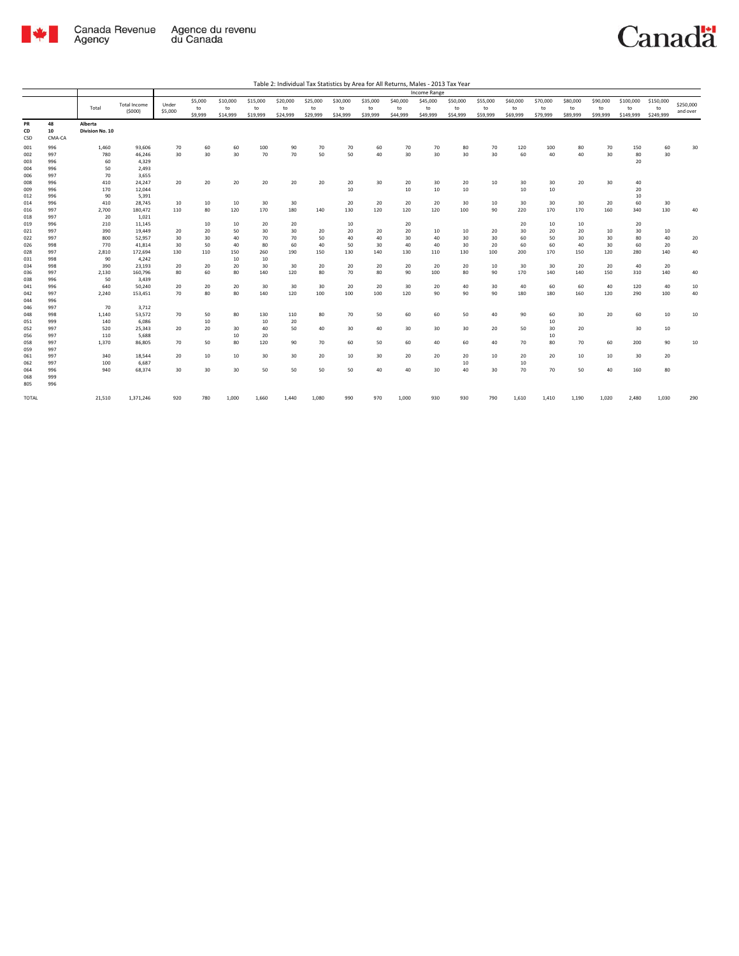

|              |            |                 |                     |         |         |          |          |          |          |          |          |          | Income Range |          |          |          |          |          |          |           |           |           |
|--------------|------------|-----------------|---------------------|---------|---------|----------|----------|----------|----------|----------|----------|----------|--------------|----------|----------|----------|----------|----------|----------|-----------|-----------|-----------|
|              |            |                 | <b>Total Income</b> | Under   | \$5,000 | \$10,000 | \$15,000 | \$20,000 | \$25,000 | \$30,000 | \$35,000 | \$40,000 | \$45,000     | \$50,000 | \$55,000 | \$60,000 | \$70,000 | \$80,000 | \$90,000 | \$100,000 | \$150,000 | \$250,000 |
|              |            | Total           | (5000)              | \$5,000 | to      | to       | to       | to       | to       | to       | to       | to       | to           | to       | to       | to       | to       | to       | to       | to        | to        | and over  |
|              |            |                 |                     |         | \$9,999 | \$14,999 | \$19,999 | \$24,999 | \$29,999 | \$34,999 | \$39,999 | \$44,999 | \$49,999     | \$54,999 | \$59,999 | \$69,999 | \$79,999 | \$89,999 | \$99,999 | \$149,999 | \$249,999 |           |
| PR           | 48         | Alberta         |                     |         |         |          |          |          |          |          |          |          |              |          |          |          |          |          |          |           |           |           |
| CD           | 10         | Division No. 10 |                     |         |         |          |          |          |          |          |          |          |              |          |          |          |          |          |          |           |           |           |
| CSD          | CMA-CA     |                 |                     |         |         |          |          |          |          |          |          |          |              |          |          |          |          |          |          |           |           |           |
| 001          | 996        | 1,460           | 93,606              | 70      | 60      | 60       | 100      | 90       | 70       | 70       | 60       | 70       | 70           | 80       | 70       | 120      | 100      | 80       | 70       | 150       | 60        | 30        |
| 002          | 997        | 780             | 46,246              | 30      | 30      | 30       | 70       | 70       | 50       | 50       | 40       | 30       | 30           | 30       | 30       | 60       | 40       | 40       | 30       | 80        | 30        |           |
| 003          | 996        | 60              | 4,329               |         |         |          |          |          |          |          |          |          |              |          |          |          |          |          |          | 20        |           |           |
| 004          | 996        | 50              | 2,493               |         |         |          |          |          |          |          |          |          |              |          |          |          |          |          |          |           |           |           |
| 006          | 997        | 70              | 3,655               |         |         |          |          |          |          |          |          |          |              |          |          |          |          |          |          |           |           |           |
| 008          | 996        | 410             | 24,247              | 20      | 20      | 20       | 20       | 20       | 20       | 20       | 30       | 20       | 30           | 20       | 10       | 30       | 30       | 20       | 30       | 40        |           |           |
| 009          | 996        | 170             | 12,044              |         |         |          |          |          |          | 10       |          | 10       | 10           | 10       |          | 10       | 10       |          |          | 20        |           |           |
| 012          | 996        | 90              | 5,391               |         |         |          |          |          |          |          |          |          |              |          |          |          |          |          |          | 10        |           |           |
| 014          | 996        | 410             | 28,745              | 10      | 10      | 10       | 30       | 30       |          | 20       | 20       | 20       | 20           | 30       | 10       | 30       | 30       | 30       | 20       | 60        | 30        |           |
| 016          | 997        | 2,700           | 180,472             | 110     | 80      | 120      | 170      | 180      | 140      | 130      | 120      | 120      | 120          | 100      | 90       | 220      | 170      | 170      | 160      | 340       | 130       | 40        |
| 018          | 997        | 20              | 1,021               |         |         |          |          |          |          |          |          |          |              |          |          |          |          |          |          |           |           |           |
| 019          | 996        | 210             | 11,145              |         | 10      | 10       | 20       | 20       |          | 10       |          | 20       |              |          |          | 20       | 10       | 10       |          | 20        |           |           |
| 021          | 997        | 390             | 19,449              | 20      | 20      | 50       | 30       | 30       | 20       | 20       | 20       | 20       | 10           | 10       | 20       | 30       | 20       | 20       | 10       | 30        | 10        |           |
| 022          | 997        | 800             | 52,957              | 30      | 30      | 40       | 70       | 70       | 50       | 40       | 40       | 30       | 40           | 30       | 30       | 60       | 50       | 30       | 30       | 80        | 40        | 20        |
| 026          | 998        | 770             | 41,814              | 30      | 50      | 40       | 80       | 60       | 40       | 50       | 30       | 40       | 40           | 30       | 20       | 60       | 60       | 40       | 30       | 60        | 20        |           |
| 028          | 997        | 2,810           | 172,694             | 130     | 110     | 150      | 260      | 190      | 150      | 130      | 140      | 130      | 110          | 130      | 100      | 200      | 170      | 150      | 120      | 280       | 140       | 40        |
| 031          | 998        | 90              | 4,242               |         |         | 10       | 10       |          |          |          |          |          |              |          |          |          |          |          |          |           |           |           |
| 034          | 998        | 390             | 23,193              | 20      | 20      | 20       | 30       | 30       | 20       | 20       | 20       | 20       | 20           | 20       | 10       | 30       | 30       | 20       | 20       | 40        | 20        |           |
| 036          | 997        | 2,130           | 160,796             | 80      | 60      | 80       | 140      | 120      | 80       | 70       | 80       | 90       | 100          | 80       | 90       | 170      | 140      | 140      | 150      | 310       | 140       | 40        |
| 038          | 996        | 50              | 3,439               |         |         |          |          |          |          |          |          |          |              |          |          |          |          |          |          |           |           |           |
| 041          | 996        | 640             | 50,240              | 20      | 20      | 20       | 30       | 30       | 30       | 20       | 20       | 30       | 20           | 40       | 30       | 40       | 60       | 60       | 40       | 120       | 40        | 10        |
| 042          | 997        | 2,240           | 153,451             | 70      | 80      | 80       | 140      | 120      | 100      | 100      | 100      | 120      | 90           | 90       | 90       | 180      | 180      | 160      | 120      | 290       | 100       | 40        |
| 044          | 996        |                 |                     |         |         |          |          |          |          |          |          |          |              |          |          |          |          |          |          |           |           |           |
| 046          | 997        | 70              | 3,712               |         |         |          |          |          |          |          |          |          |              |          |          |          |          |          |          |           |           |           |
| 048          | 998        | 1,140           | 53,572              | 70      | 50      | 80       | 130      | 110      | 80       | 70       | 50       | 60       | 60           | 50       | 40       | 90       | 60       | 30       | 20       | 60        | 10        | 10        |
| 051          | 999        | 140             | 6,086               |         | 10      |          | 10       | 20       |          |          |          |          |              |          |          |          | 10       |          |          |           |           |           |
| 052          | 997        | 520             | 25,343              | 20      | 20      | 30       | 40       | 50       | 40       | 30       | 40       | 30       | 30           | 30       | 20       | 50       | 30       | 20       |          | 30        | 10        |           |
| 056          | 997        | 110             | 5,688               |         |         | 10       | 20       |          |          |          |          |          |              |          |          |          | 10       |          |          |           |           |           |
| 058          | 997        | 1,370           | 86,805              | 70      | 50      | 80       | 120      | 90       | 70       | 60       | 50       | 60       | 40           | 60       | 40       | 70       | 80       | 70       | 60       | 200       | 90        | 10        |
| 059          | 997        |                 |                     |         |         |          |          |          |          |          |          |          |              |          |          |          |          |          |          |           |           |           |
| 061          | 997        | 340             | 18,544              | 20      | 10      | 10       | 30       | 30       | 20       | 10       | 30       | 20       | 20           | 20       | 10       | 20       | 20       | 10       | 10       | 30        | 20        |           |
| 062          | 997        | 100             | 6,687               |         |         |          |          |          |          |          |          |          |              | 10       |          | 10       |          |          |          |           |           |           |
| 064<br>068   | 996<br>999 | 940             | 68,374              | 30      | 30      | 30       | 50       | 50       | 50       | 50       | 40       | 40       | 30           | 40       | 30       | 70       | 70       | 50       | 40       | 160       | 80        |           |
|              |            |                 |                     |         |         |          |          |          |          |          |          |          |              |          |          |          |          |          |          |           |           |           |
| 805          | 996        |                 |                     |         |         |          |          |          |          |          |          |          |              |          |          |          |          |          |          |           |           |           |
| <b>TOTAL</b> |            | 21,510          | 1,371,246           | 920     | 780     | 1,000    | 1,660    | 1,440    | 1,080    | 990      | 970      | 1,000    | 930          | 930      | 790      | 1,610    | 1,410    | 1,190    | 1,020    | 2,480     | 1,030     | 290       |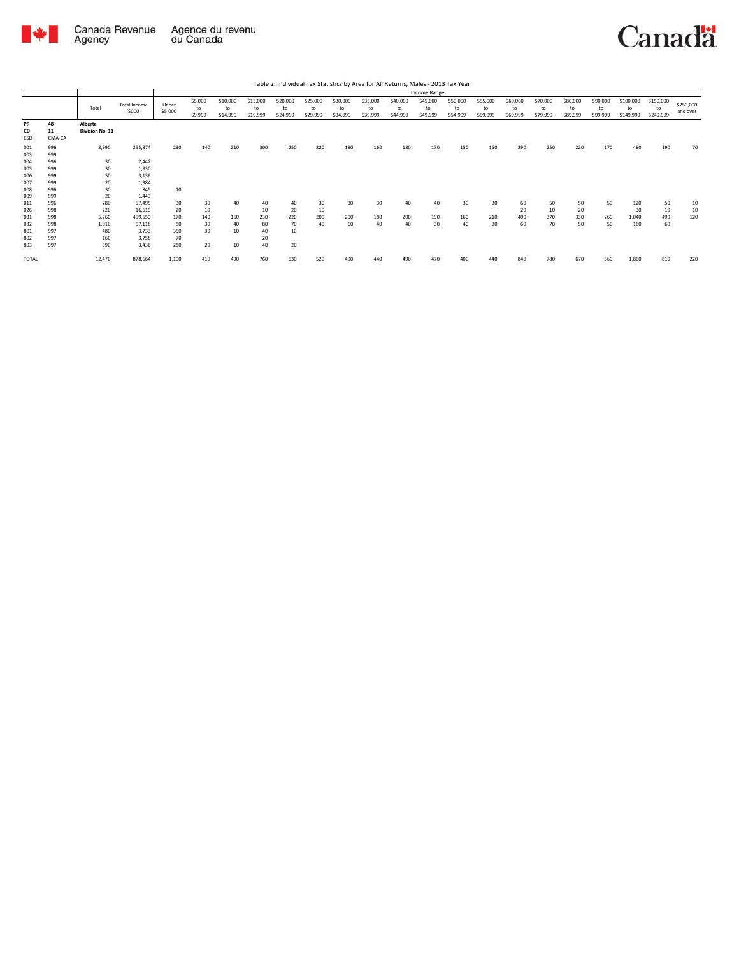

|                 |                    |                            |                               |                  |                          |                            |                            |                            |                            |                            |                            |                            | Income Range               |                            |                            |                            |                            |                            |                            |                              |                              |                       |
|-----------------|--------------------|----------------------------|-------------------------------|------------------|--------------------------|----------------------------|----------------------------|----------------------------|----------------------------|----------------------------|----------------------------|----------------------------|----------------------------|----------------------------|----------------------------|----------------------------|----------------------------|----------------------------|----------------------------|------------------------------|------------------------------|-----------------------|
|                 |                    | Total                      | <b>Total Income</b><br>(5000) | Under<br>\$5,000 | \$5,000<br>to<br>\$9,999 | \$10,000<br>to<br>\$14,999 | \$15,000<br>to<br>\$19,999 | \$20,000<br>to<br>\$24,999 | \$25,000<br>to<br>\$29,999 | \$30,000<br>to<br>\$34,999 | \$35,000<br>to<br>\$39,999 | \$40,000<br>to<br>\$44,999 | \$45,000<br>to<br>\$49,999 | \$50,000<br>to<br>\$54,999 | \$55,000<br>to<br>\$59,999 | \$60,000<br>to<br>\$69,999 | \$70,000<br>to<br>\$79,999 | \$80,000<br>to<br>\$89,999 | \$90,000<br>to<br>\$99,999 | \$100,000<br>to<br>\$149,999 | \$150,000<br>to<br>\$249,999 | \$250,000<br>and over |
| PR<br>CD<br>CSD | 48<br>11<br>CMA-CA | Alberta<br>Division No. 11 |                               |                  |                          |                            |                            |                            |                            |                            |                            |                            |                            |                            |                            |                            |                            |                            |                            |                              |                              |                       |
| 001<br>003      | 996<br>999         | 3,990                      | 255,874                       | 230              | 140                      | 210                        | 300                        | 250                        | 220                        | 180                        | 160                        | 180                        | 170                        | 150                        | 150                        | 290                        | 250                        | 220                        | 170                        | 480                          | 190                          | 70                    |
| 004<br>005      | 996<br>999         | 30<br>30                   | 2,442<br>1,830                |                  |                          |                            |                            |                            |                            |                            |                            |                            |                            |                            |                            |                            |                            |                            |                            |                              |                              |                       |
| 006<br>007      | 999<br>999         | 50<br>20                   | 3,136<br>1,384                |                  |                          |                            |                            |                            |                            |                            |                            |                            |                            |                            |                            |                            |                            |                            |                            |                              |                              |                       |
| 008<br>009      | 996<br>999         | 30<br>20                   | 845<br>1,443                  | 10               |                          |                            |                            |                            |                            |                            |                            |                            |                            |                            |                            |                            |                            |                            |                            |                              |                              |                       |
| 011<br>026      | 996<br>998         | 780<br>220                 | 57,495<br>16,619              | 30<br>20         | 30<br>10                 | 40                         | 40<br>10                   | 40<br>20                   | 30<br>10                   | 30                         | 30                         | 40                         | 40                         | 30                         | 30                         | 60<br>20                   | 50<br>10                   | 50<br>20                   | 50                         | 120<br>30                    | 50<br>10                     | 10<br>10              |
| 031<br>032      | 998<br>998         | 5,260<br>1,010             | 459,550<br>67,118             | 170<br>50        | 140<br>30                | 160<br>40                  | 230<br>80                  | 220<br>70                  | 200<br>40                  | 200<br>60                  | 180<br>40                  | 200<br>40                  | 190<br>30                  | 160<br>40                  | 210<br>30                  | 400<br>60                  | 370<br>70                  | 330<br>50                  | 260<br>50                  | 1,040<br>160                 | 490<br>60                    | 120                   |
| 801<br>802      | 997<br>997         | 480<br>160                 | 3,733<br>3,758                | 350<br>70        | 30                       | 10                         | 40<br>20                   | 10                         |                            |                            |                            |                            |                            |                            |                            |                            |                            |                            |                            |                              |                              |                       |
| 803             | 997                | 390                        | 3,436                         | 280              | 20                       | 10                         | 40                         | 20                         |                            |                            |                            |                            |                            |                            |                            |                            |                            |                            |                            |                              |                              |                       |
| TOTAL           |                    | 12,470                     | 878,664                       | 1,190            | 410                      | 490                        | 760                        | 630                        | 520                        | 490                        |                            | 490                        | 470                        | 400                        | 440                        | 840                        | 780                        | 670                        | 560                        | 1,860                        | 810                          | 220                   |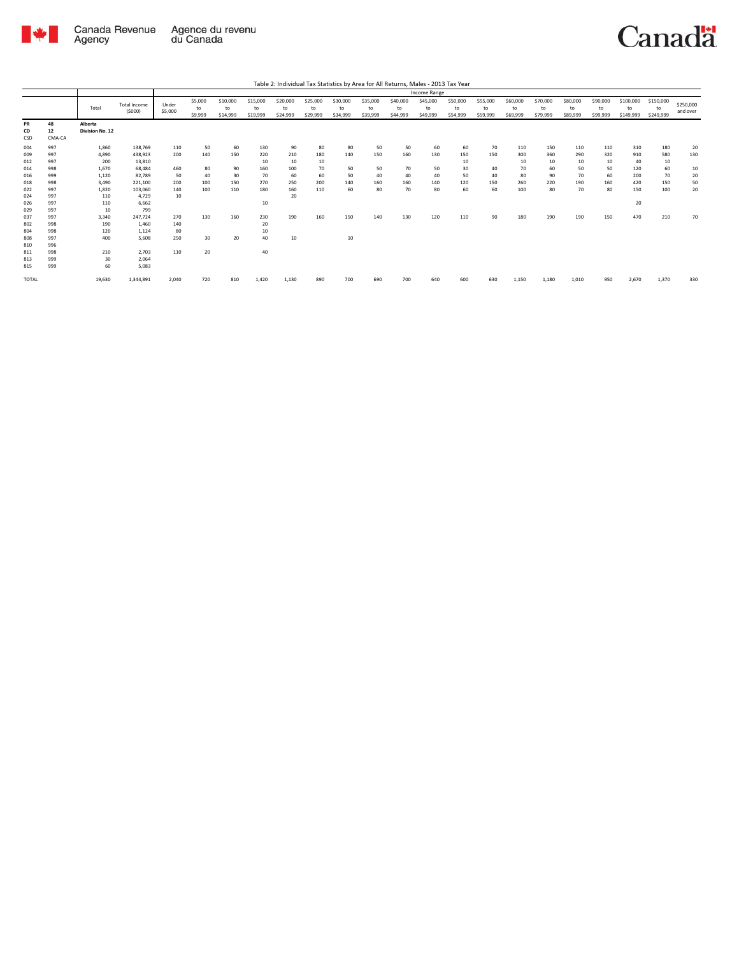

|                                                                                                       |                                                                                                       |                                                                                                             |                                                                                                                                       |                                                                        |                                                  |                                                  |                                                                            |                                                               |                                                  |                                                 |                                           |                                           | Income Range                              |                                                 |                                          |                                                   |                                                  |                                                  |                                                  |                                                           |                                                   |                                         |
|-------------------------------------------------------------------------------------------------------|-------------------------------------------------------------------------------------------------------|-------------------------------------------------------------------------------------------------------------|---------------------------------------------------------------------------------------------------------------------------------------|------------------------------------------------------------------------|--------------------------------------------------|--------------------------------------------------|----------------------------------------------------------------------------|---------------------------------------------------------------|--------------------------------------------------|-------------------------------------------------|-------------------------------------------|-------------------------------------------|-------------------------------------------|-------------------------------------------------|------------------------------------------|---------------------------------------------------|--------------------------------------------------|--------------------------------------------------|--------------------------------------------------|-----------------------------------------------------------|---------------------------------------------------|-----------------------------------------|
|                                                                                                       |                                                                                                       | Total                                                                                                       | <b>Total Income</b><br>(5000)                                                                                                         | Under<br>\$5,000                                                       | \$5,000<br>to<br>\$9,999                         | \$10,000<br>to<br>\$14,999                       | \$15,000<br>to<br>\$19,999                                                 | \$20,000<br>to<br>\$24,999                                    | \$25,000<br>to<br>\$29,999                       | \$30,000<br>to<br>\$34,999                      | \$35,000<br>to<br>\$39,999                | \$40,000<br>to<br>\$44,999                | \$45,000<br>to<br>\$49,999                | \$50,000<br>to<br>\$54,999                      | \$55,000<br>to<br>\$59,999               | \$60,000<br>to<br>\$69,999                        | \$70,000<br>to<br>\$79,999                       | \$80,000<br>to<br>\$89,999                       | \$90,000<br>to<br>\$99,999                       | \$100,000<br>to<br>\$149,999                              | \$150,000<br>to<br>\$249,999                      | \$250,000<br>and over                   |
| <b>PR</b><br>CD<br>CSD                                                                                | 48<br>12<br>CMA-CA                                                                                    | Alberta<br>Division No. 12                                                                                  |                                                                                                                                       |                                                                        |                                                  |                                                  |                                                                            |                                                               |                                                  |                                                 |                                           |                                           |                                           |                                                 |                                          |                                                   |                                                  |                                                  |                                                  |                                                           |                                                   |                                         |
| 004<br>009<br>012<br>014<br>016<br>018<br>022<br>024<br>026<br>029<br>037<br>802<br>804<br>808<br>810 | 997<br>997<br>997<br>998<br>999<br>998<br>997<br>997<br>997<br>997<br>997<br>998<br>998<br>997<br>996 | 1,860<br>4.890<br>200<br>1,670<br>1,120<br>3,490<br>1.820<br>110<br>110<br>10<br>3,340<br>190<br>120<br>400 | 138,769<br>438,923<br>13,810<br>68,484<br>82,789<br>221,100<br>103,060<br>4,729<br>6,662<br>799<br>247,724<br>1,460<br>1,124<br>5.608 | 110<br>200<br>460<br>50<br>200<br>140<br>10<br>270<br>140<br>80<br>250 | 50<br>140<br>80<br>40<br>100<br>100<br>130<br>30 | 60<br>150<br>90<br>30<br>150<br>110<br>160<br>20 | 130<br>220<br>10<br>160<br>70<br>270<br>180<br>10<br>230<br>20<br>10<br>40 | 90<br>210<br>10<br>100<br>60<br>250<br>160<br>20<br>190<br>10 | 80<br>180<br>10<br>70<br>60<br>200<br>110<br>160 | 80<br>140<br>50<br>50<br>140<br>60<br>150<br>10 | 50<br>150<br>50<br>40<br>160<br>80<br>140 | 50<br>160<br>70<br>40<br>160<br>70<br>130 | 60<br>130<br>50<br>40<br>140<br>80<br>120 | 60<br>150<br>10<br>30<br>50<br>120<br>60<br>110 | 70<br>150<br>40<br>40<br>150<br>60<br>90 | 110<br>300<br>10<br>70<br>80<br>260<br>100<br>180 | 150<br>360<br>10<br>60<br>90<br>220<br>80<br>190 | 110<br>290<br>10<br>50<br>70<br>190<br>70<br>190 | 110<br>320<br>10<br>50<br>60<br>160<br>80<br>150 | 310<br>910<br>40<br>120<br>200<br>420<br>150<br>20<br>470 | 180<br>580<br>10<br>60<br>70<br>150<br>100<br>210 | 20<br>130<br>10<br>20<br>50<br>20<br>70 |
| 811<br>813<br>815<br><b>TOTAL</b>                                                                     | 998<br>999<br>999                                                                                     | 210<br>30<br>60<br>19,630                                                                                   | 2,703<br>2,064<br>5,083<br>1,344,891                                                                                                  | 110<br>2,040                                                           | 20<br>720                                        | 810                                              | 40<br>1,420                                                                | 1,130                                                         | 890                                              | 700                                             | 690                                       | 700                                       | 640                                       | 600                                             | 630                                      | 1,150                                             | 1,180                                            | 1,010                                            | 950                                              | 2,670                                                     | 1,370                                             | 330                                     |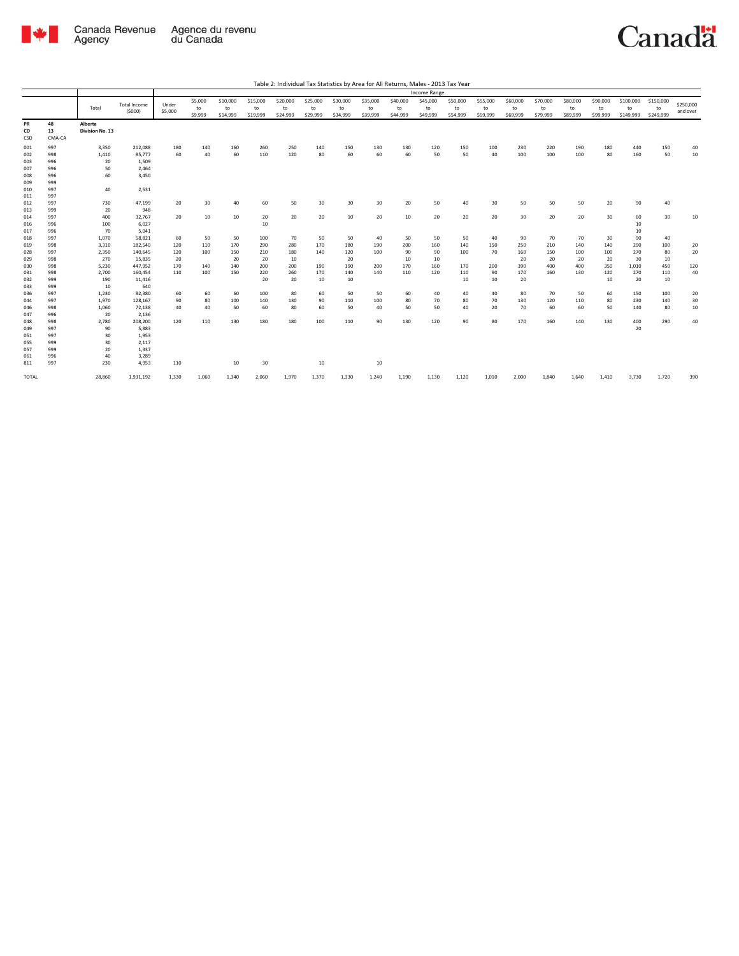

|                 |                    |                            |                     |         |         |          |          |          |          |          |          |          | Income Range |          |          |          |          |          |          |           |                 |           |
|-----------------|--------------------|----------------------------|---------------------|---------|---------|----------|----------|----------|----------|----------|----------|----------|--------------|----------|----------|----------|----------|----------|----------|-----------|-----------------|-----------|
|                 |                    |                            | <b>Total Income</b> | Under   | \$5,000 | \$10,000 | \$15,000 | \$20,000 | \$25,000 | \$30,000 | \$35,000 | \$40,000 | \$45,000     | \$50,000 | \$55,000 | \$60,000 | \$70,000 | \$80,000 | \$90,000 | \$100,000 | \$150,000       | \$250,000 |
|                 |                    | Total                      |                     |         | to      | to       | to       | to       | to       | to       | to       | to       | to           | to       | to       | to       | to       | to       | to       | to        | to              |           |
|                 |                    |                            | (5000)              | \$5,000 | \$9,999 | \$14,999 | \$19,999 | \$24,999 | \$29,999 | \$34,999 | \$39,999 | \$44,999 | \$49,999     | \$54,999 | \$59,999 | \$69,999 | \$79,999 | \$89,999 | \$99,999 | \$149,999 | \$249,999       | and over  |
| PR<br>CD<br>CSD | 48<br>13<br>CMA-CA | Alberta<br>Division No. 13 |                     |         |         |          |          |          |          |          |          |          |              |          |          |          |          |          |          |           |                 |           |
| 001             | 997                | 3,350                      | 212,088             | 180     | 140     | 160      | 260      | 250      | 140      | 150      | 130      | 130      | 120          | 150      | 100      | 230      | 220      | 190      | 180      | 440       | 150             | 40        |
| 002             | 998                | 1,410                      | 85,777              | 60      | 40      | 60       | 110      | 120      | 80       | 60       | 60       | 60       | 50           | 50       | 40       | 100      | 100      | 100      | 80       | 160       | 50              | 10        |
| 003             | 996                | 20                         | 1,509               |         |         |          |          |          |          |          |          |          |              |          |          |          |          |          |          |           |                 |           |
| 007             | 996                | 50                         | 2,464               |         |         |          |          |          |          |          |          |          |              |          |          |          |          |          |          |           |                 |           |
| 008<br>009      | 996<br>999         | 60                         | 3,450               |         |         |          |          |          |          |          |          |          |              |          |          |          |          |          |          |           |                 |           |
| 010<br>011      | 997<br>997         | 40                         | 2,531               |         |         |          |          |          |          |          |          |          |              |          |          |          |          |          |          |           |                 |           |
| 012             | 997                | 730                        | 47,199              | 20      | 30      | 40       | 60       | 50       | 30       | 30       | 30       | 20       | 50           | 40       | 30       | 50       | 50       | 50       | 20       | 90        | 40              |           |
| 013             | 999                | 20                         | 948                 |         |         |          |          |          |          |          |          |          |              |          |          |          |          |          |          |           |                 |           |
| 014             | 997                | 400                        | 32,767              | 20      | 10      | 10       | 20       | 20       | 20       | 10       | 20       | 10       | 20           | 20       | 20       | 30       | 20       | 20       | 30       | 60        | 30 <sup>2</sup> | 10        |
| 016             | 996                | 100                        | 6,027               |         |         |          | 10       |          |          |          |          |          |              |          |          |          |          |          |          | 10        |                 |           |
| 017             | 996                | 70                         | 5,041               |         |         |          |          |          |          |          |          |          |              |          |          |          |          |          |          | 10        |                 |           |
| 018             | 997                | 1,070                      | 58,821              | 60      | 50      | 50       | 100      | 70       | 50       | 50       | 40       | 50       | 50           | 50       | 40       | 90       | 70       | 70       | 30       | 90        | 40              |           |
| 019             | 998                | 3,310                      | 182,540             | 120     | 110     | 170      | 290      | 280      | 170      | 180      | 190      | 200      | 160          | 140      | 150      | 250      | 210      | 140      | 140      | 290       | 100             | 20        |
| 028             | 997                | 2,350                      | 140,645             | 120     | 100     | 150      | 210      | 180      | 140      | 120      | 100      | 90       | 90           | 100      | 70       | 160      | 150      | 100      | 100      | 270       | 80              | 20        |
| 029             | 998                | 270                        | 15,835              | 20      |         | 20       | 20       | 10       |          | 20       |          | 10       | 10           |          |          | 20       | 20       | 20       | 20       | 30        | 10              |           |
| 030             | 998                | 5,230                      | 447,952             | 170     | 140     | 140      | 200      | 200      | 190      | 190      | 200      | 170      | 160          | 170      | 200      | 390      | 400      | 400      | 350      | 1,010     | 450             | 120       |
| 031             | 998                | 2,700                      | 160,454             | 110     | 100     | 150      | 220      | 260      | 170      | 140      | 140      | 110      | 120          | 110      | 90       | 170      | 160      | 130      | 120      | 270       | 110             | 40        |
| 032             | 999                | 190                        | 11,416              |         |         |          | 20       | 20       | 10       | 10       |          |          |              | 10       | 10       | 20       |          |          | 10       | 20        | 10              |           |
| 033             | 999                | 10                         | 640                 |         |         |          |          |          |          |          |          |          |              |          |          |          |          |          |          |           |                 |           |
| 036             | 997                | 1,230                      | 82,380              | 60      | 60      | 60       | 100      | 80       | 60       | 50       | 50       | 60       | 40           | 40       | 40       | 80       | 70       | 50       | 60       | 150       | 100             | 20        |
| 044             | 997                | 1,970                      | 128,167             | 90      | 80      | 100      | 140      | 130      | 90       | 110      | 100      | 80       | 70           | 80       | 70       | 130      | 120      | 110      | 80       | 230       | 140             | 30        |
| 046             | 998                | 1,060                      | 72,138              | 40      | 40      | 50       | 60       | 80       | 60       | 50       | 40       | 50       | 50           | 40       | 20       | 70       | 60       | 60       | 50       | 140       | 80              | 10        |
| 047             | 996                | 20                         | 2,136               |         |         |          |          |          |          |          |          |          |              |          |          |          |          |          |          |           |                 |           |
| 048             | 998                | 2,780                      | 208,200             | 120     | 110     | 130      | 180      | 180      | 100      | 110      | 90       | 130      | 120          | 90       | 80       | 170      | 160      | 140      | 130      | 400       | 290             | 40        |
| 049             | 997                | 90                         | 5,883               |         |         |          |          |          |          |          |          |          |              |          |          |          |          |          |          | 20        |                 |           |
| 051             | 997                | 30                         | 1,953               |         |         |          |          |          |          |          |          |          |              |          |          |          |          |          |          |           |                 |           |
| 055             | 999                | 30                         | 2,117               |         |         |          |          |          |          |          |          |          |              |          |          |          |          |          |          |           |                 |           |
| 057             | 999                | 20                         | 1,337               |         |         |          |          |          |          |          |          |          |              |          |          |          |          |          |          |           |                 |           |
| 061             | 996                | 40                         | 3,289               |         |         |          |          |          |          |          |          |          |              |          |          |          |          |          |          |           |                 |           |
| 811             | 997                | 230                        | 4,953               | 110     |         | 10       | 30       |          | 10       |          | 10       |          |              |          |          |          |          |          |          |           |                 |           |
| <b>TOTAL</b>    |                    | 28,860                     | 1,931,192           | 1,330   | 1,060   | 1,340    | 2,060    | 1,970    | 1,370    | 1,330    | 1,240    | 1,190    | 1,130        | 1,120    | 1,010    | 2,000    | 1,840    | 1,640    | 1,410    | 3,730     | 1,720           | 390       |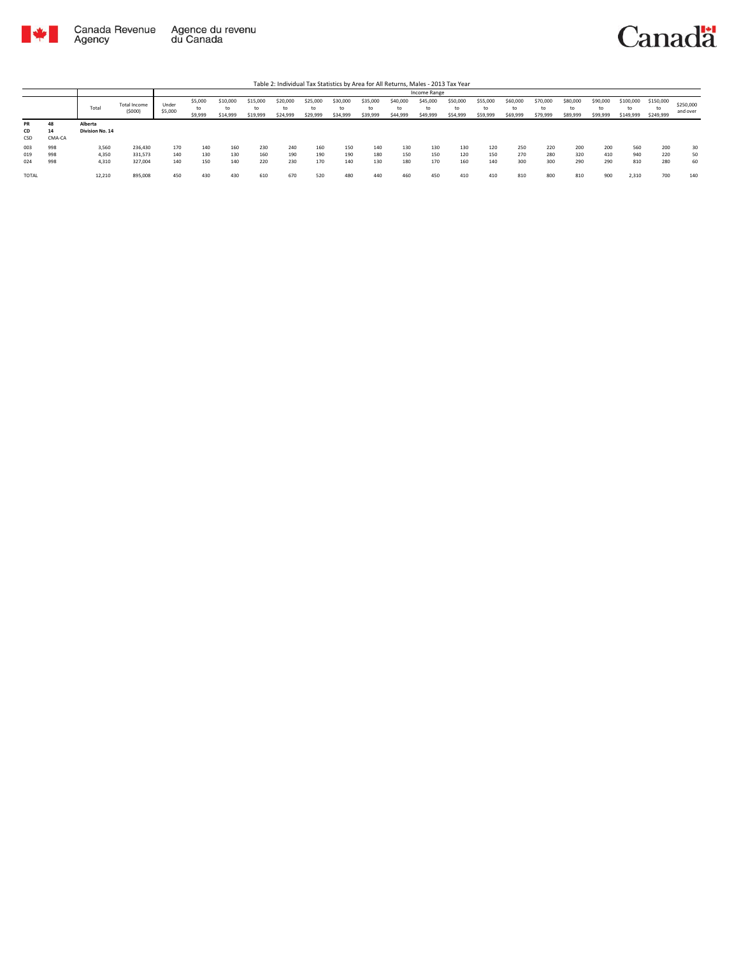

|       |        |                 |                        |                  |                          |                            |                            |                            |                            |                      |                            |                            | Income Range               |                            |                            |                            |                            |                            |                            |                              |                              |                       |
|-------|--------|-----------------|------------------------|------------------|--------------------------|----------------------------|----------------------------|----------------------------|----------------------------|----------------------|----------------------------|----------------------------|----------------------------|----------------------------|----------------------------|----------------------------|----------------------------|----------------------------|----------------------------|------------------------------|------------------------------|-----------------------|
|       |        | Total           | Total Income<br>(5000) | Under<br>\$5,000 | \$5,000<br>to<br>\$9,999 | \$10,000<br>to<br>\$14,999 | \$15,000<br>to<br>\$19,999 | \$20,000<br>to<br>\$24,999 | \$25,000<br>to<br>\$29,999 | \$30,000<br>\$34,999 | \$35,000<br>to<br>\$39,999 | \$40,000<br>to<br>\$44,999 | \$45,000<br>to<br>\$49,999 | \$50,000<br>to<br>\$54,999 | \$55,000<br>to<br>\$59,999 | \$60,000<br>to<br>\$69,999 | \$70,000<br>to<br>\$79,999 | \$80,000<br>to<br>\$89,999 | \$90,000<br>to<br>\$99,999 | \$100,000<br>to<br>\$149,999 | \$150,000<br>to<br>\$249,999 | \$250,000<br>and over |
| PR    | 48     | Alberta         |                        |                  |                          |                            |                            |                            |                            |                      |                            |                            |                            |                            |                            |                            |                            |                            |                            |                              |                              |                       |
| CD    | 14     | Division No. 14 |                        |                  |                          |                            |                            |                            |                            |                      |                            |                            |                            |                            |                            |                            |                            |                            |                            |                              |                              |                       |
| CSD   | CMA-CA |                 |                        |                  |                          |                            |                            |                            |                            |                      |                            |                            |                            |                            |                            |                            |                            |                            |                            |                              |                              |                       |
| 003   | 998    | 3,560           | 236,430                | 170              | 140                      | 160                        | 230                        | 240                        | 160                        | 150                  | 140                        | 130                        | 130                        | 130                        | 120                        | 250                        | 220                        | 200                        | 200                        | 560                          | 200                          | 30                    |
| 019   | 998    | 4,350           | 331,573                | 140              | 130                      | 130                        | 160                        | 190                        | 190                        | 190                  | 180                        | 150                        | 150                        | 120                        | 150                        | 270                        | 280                        | 320                        | 410                        | 940                          | 220                          | 50                    |
| 024   | 998    | 4,310           | 327,004                | 140              | 150                      | 140                        | 220                        | 230                        | 170                        | 140                  | 130                        | 180                        | 170                        | 160                        | 140                        | 300                        | 300                        | 290                        | 290                        | 810                          | 280                          | 60                    |
| TOTAL |        | 12,210          | 895,008                | 450              | 430                      | 430                        | 610                        | 670                        | 520                        | 480                  | 440                        | 460                        | 450                        | 410                        | 410                        | 810                        | 800                        | 810                        | 900                        | 2.310                        | 700                          | 140                   |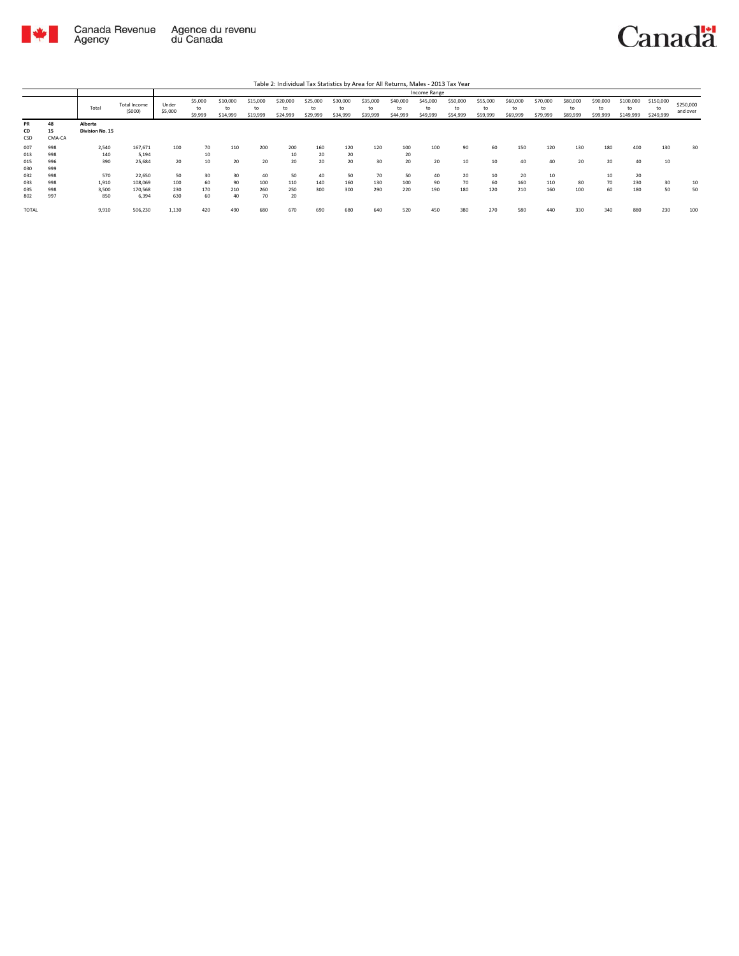

|                        |                    |                            |                        |                  |                          |                            |                            |                            |                            |                      |                            |                            | Income Range               |                            |                            |                            |                            |                            |                            |                              |                              |                       |
|------------------------|--------------------|----------------------------|------------------------|------------------|--------------------------|----------------------------|----------------------------|----------------------------|----------------------------|----------------------|----------------------------|----------------------------|----------------------------|----------------------------|----------------------------|----------------------------|----------------------------|----------------------------|----------------------------|------------------------------|------------------------------|-----------------------|
|                        |                    | Total                      | Total Income<br>(5000) | Under<br>\$5,000 | \$5,000<br>to<br>\$9,999 | \$10,000<br>to<br>\$14,999 | \$15,000<br>to<br>\$19,999 | \$20,000<br>to<br>\$24,999 | \$25,000<br>to<br>\$29,999 | \$30,000<br>\$34,999 | \$35,000<br>to<br>\$39,999 | \$40,000<br>to<br>\$44,999 | \$45,000<br>to<br>\$49,999 | \$50,000<br>to<br>\$54,999 | \$55,000<br>to<br>\$59,999 | \$60,000<br>to<br>\$69,999 | \$70,000<br>to<br>\$79,999 | \$80,000<br>to<br>\$89,999 | \$90,000<br>to<br>\$99,999 | \$100,000<br>to<br>\$149,999 | \$150,000<br>to<br>\$249,999 | \$250,000<br>and over |
| <b>PR</b><br>CD<br>CSD | 48<br>15<br>CMA-CA | Alberta<br>Division No. 15 |                        |                  |                          |                            |                            |                            |                            |                      |                            |                            |                            |                            |                            |                            |                            |                            |                            |                              |                              |                       |
| 007                    | 998                | 2,540                      | 167,671                | 100              | 70                       | 110                        | 200                        | 200                        | 160                        | 120                  | 120                        | 100                        | 100                        | 90                         | 60                         | 150                        | 120                        | 130                        | 180                        | 400                          | 130                          | 30                    |
| 013                    | 998                | 140                        | 5.194                  |                  | 10                       |                            |                            | 10                         | 20                         | 20                   |                            | 20                         |                            |                            |                            |                            |                            |                            |                            |                              |                              |                       |
| 015                    | 996                | 390                        | 25,684                 | 20               | 10                       | 20                         | 20                         | 20                         | 20                         | 20                   | 30                         | 20                         | 20                         | 10                         | 10                         | 40                         | 40                         | 20                         | 20                         | 40                           | 10                           |                       |
| 030                    | 999                |                            |                        |                  |                          |                            |                            |                            |                            |                      |                            |                            |                            |                            |                            |                            |                            |                            |                            |                              |                              |                       |
| 032                    | 998                | 570                        | 22,650                 | 50               | 30                       | 30                         | 40                         | 50                         | 40                         | 50                   | 70                         | 50                         | 40                         | 20                         | 10                         | 20                         | 10                         |                            | 10                         | 20                           |                              |                       |
| 033                    | 998                | 1,910                      | 108,069                | 100              | 60                       | 90                         | 100                        | 110                        | 140                        | 160                  | 130                        | 100                        | 90                         | 70                         | 60                         | 160                        | 110                        | 80                         | 70                         | 230                          | 30                           | 10                    |
| 035                    | 998                | 3,500                      | 170,568                | 230              | 170                      | 210                        | 260                        | 250                        | 300                        | 300                  | 290                        | 220                        | 190                        | 180                        | 120                        | 210                        | 160                        | 100                        | 60                         | 180                          | 50                           | 50                    |
| 802                    | 997                | 850                        | 6.394                  | 630              | 60                       | 40                         | 70                         | 20                         |                            |                      |                            |                            |                            |                            |                            |                            |                            |                            |                            |                              |                              |                       |
| <b>TOTAL</b>           |                    | 9.910                      | 506,230                | 1.130            | 420                      | 490                        | 680                        | 670                        | 690                        | 680                  | 640                        | 520                        | 450                        | 380                        | 270                        | 580                        | 440                        | 330                        | 340                        | 880                          | 230                          | 100                   |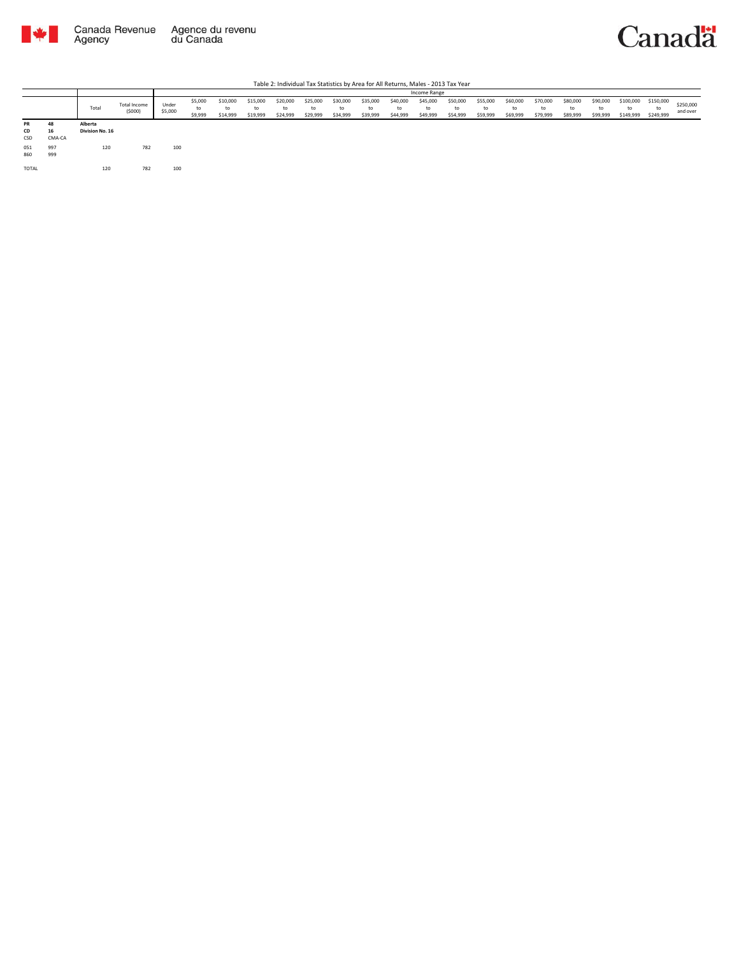



|                 |                    |                            |                        |                  |                          |                            |                            |                            |                            |                            |                            |                            | Income Range               |                            |                            |                            |                            |                            |                            |                              |                              |                       |
|-----------------|--------------------|----------------------------|------------------------|------------------|--------------------------|----------------------------|----------------------------|----------------------------|----------------------------|----------------------------|----------------------------|----------------------------|----------------------------|----------------------------|----------------------------|----------------------------|----------------------------|----------------------------|----------------------------|------------------------------|------------------------------|-----------------------|
|                 |                    | Total                      | Total Income<br>(5000) | Under<br>\$5,000 | \$5,000<br>to<br>\$9,999 | \$10,000<br>to<br>\$14,999 | \$15,000<br>to<br>\$19,999 | \$20,000<br>to<br>\$24,999 | \$25,000<br>to<br>\$29,999 | \$30,000<br>to<br>\$34,999 | \$35,000<br>to<br>\$39,999 | \$40,000<br>to<br>\$44,999 | \$45,000<br>to<br>\$49,999 | \$50,000<br>to<br>\$54,999 | \$55,000<br>to<br>\$59,999 | \$60,000<br>to<br>\$69,999 | \$70,000<br>to<br>\$79,999 | \$80,000<br>to<br>\$89,999 | \$90,000<br>to<br>\$99,999 | \$100,000<br>to<br>\$149,999 | \$150,000<br>to<br>\$249,999 | \$250,000<br>and over |
| PR<br>CD<br>CSD | 48<br>16<br>CMA-CA | Alberta<br>Division No. 16 |                        |                  |                          |                            |                            |                            |                            |                            |                            |                            |                            |                            |                            |                            |                            |                            |                            |                              |                              |                       |
| 051<br>860      | 997<br>999         | 120                        | 782                    | 100              |                          |                            |                            |                            |                            |                            |                            |                            |                            |                            |                            |                            |                            |                            |                            |                              |                              |                       |
| TOTAL           |                    | 120                        | 782                    | 100              |                          |                            |                            |                            |                            |                            |                            |                            |                            |                            |                            |                            |                            |                            |                            |                              |                              |                       |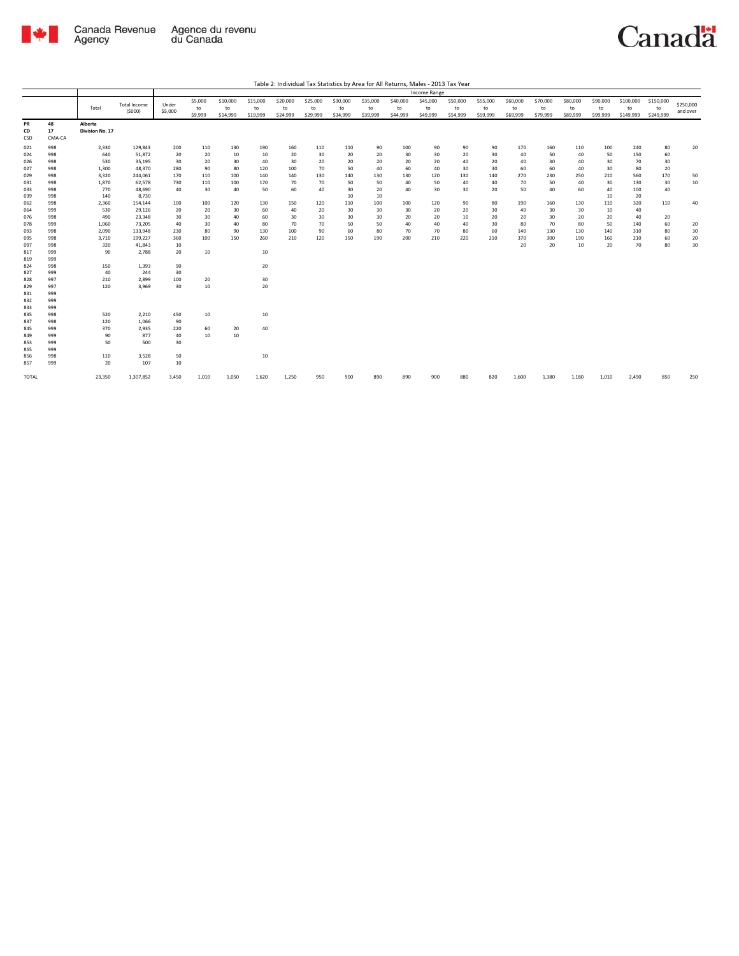

|  | Table 2: Individual Tax Statistics by Area for All Returns, Males - 2013 Tax Year |
|--|-----------------------------------------------------------------------------------|
|  |                                                                                   |

|                 |                    |                            |              |         |         |          |          |          |          |          |          |          | Income Range |          |          |          |          |          |          |           |           |           |
|-----------------|--------------------|----------------------------|--------------|---------|---------|----------|----------|----------|----------|----------|----------|----------|--------------|----------|----------|----------|----------|----------|----------|-----------|-----------|-----------|
|                 |                    |                            |              |         | \$5,000 | \$10,000 | \$15,000 | \$20,000 | \$25,000 | \$30,000 | \$35,000 | \$40,000 | \$45,000     | \$50,000 | \$55,000 | \$60,000 | \$70,000 | \$80,000 | \$90,000 | \$100,000 | \$150,000 | \$250,000 |
|                 |                    | Total                      | Total Income | Under   | to      | to       | to       | to       | to       | to       | to       | to       | to           | to       | to       | to       | to       | to       | to       | to        | to        |           |
|                 |                    |                            | (5000)       | \$5,000 | \$9,999 | \$14,999 | \$19,999 | \$24,999 | \$29,999 | \$34,999 | \$39,999 | \$44,999 | \$49,999     | \$54,999 | \$59,999 | \$69,999 | \$79,999 | \$89,999 | \$99,999 | \$149,999 | \$249,999 | and over  |
| PR<br>CD<br>CSD | 48<br>17<br>CMA-CA | Alberta<br>Division No. 17 |              |         |         |          |          |          |          |          |          |          |              |          |          |          |          |          |          |           |           |           |
| 021             | 998                | 2,330                      | 129,843      | 200     | 110     | 130      | 190      | 160      | 110      | 110      | 90       | 100      | 90           | 90       | 90       | 170      | 160      | 110      | 100      | 240       | 80        | 20        |
| 024             | 998                | 640                        | 51,872       | 20      | 20      | 10       | 10       | 20       | 30       | 20       | 20       | 30       | 30           | 20       | 30       | 40       | 50       | 40       | 50       | 150       | 60        |           |
| 026             | 998                | 530                        | 35,195       | 30      | 20      | 30       | 40       | 30       | 20       | 20       | 20       | 20       | 20           | 40       | 20       | 40       | 30       | 40       | 30       | 70        | 30        |           |
| 027             | 998                | 1,300                      | 48,370       | 280     | 90      | 80       | 120      | 100      | 70       | 50       | 40       | 60       | 40           | 30       | 30       | 60       | 60       | 40       | 30       | 80        | 20        |           |
| 029             | 998                | 3,320                      | 244,061      | 170     | 110     | 100      | 140      | 140      | 130      | 140      | 130      | 130      | 120          | 130      | 140      | 270      | 230      | 250      | 210      | 560       | 170       | 50        |
| 031             | 998                | 1,870                      | 62,578       | 730     | 110     | 100      | 170      | 70       | 70       | 50       | 50       | 40       | 50           | 40       | 40       | 70       | 50       | 40       | 30       | 130       | 30        | 10        |
| 033             | 998                | 770                        | 48,690       | 40      | 30      | 40       | 50       | 60       | 40       | 30       | 20       | 40       | 30           | 30       | 20       | 50       | 40       | 60       | 40       | 100       | 40        |           |
| 039             | 998                | 140                        | 8,730        |         |         |          |          |          |          | 10       | 10       |          |              |          |          |          |          |          | 10       | 20        |           |           |
| 062             | 998                | 2,360                      | 154,144      | 100     | 100     | 120      | 130      | 150      | 120      | 110      | 100      | 100      | 120          | 90       | 80       | 190      | 160      | 130      | 110      | 320       | 110       | 40        |
| 064             | 999                | 530                        | 29,126       | 20      | 20      | 30       | 60       | 40       | 20       | 30       | 30       | 30       | 20           | 20       | 30       | 40       | 30       | 30       | 10       | 40        |           |           |
| 076             | 998                | 490                        | 23,348       | 30      | 30      | 40       | 60       | 30       | 30       | 30       | 30       | 20       | 20           | 10       | 20       | 20       | 30       | 20       | 20       | 40        | 20        |           |
| 078             | 999                | 1,060                      | 73,205       | 40      | 30      | 40       | 80       | 70       | 70       | 50       | 50       | 40       | 40           | 40       | 30       | 80       | 70       | 80       | 50       | 140       | 60        | 20        |
| 093             | 998                | 2,090                      | 133,948      | 230     | 80      | 90       | 130      | 100      | 90       | 60       | 80       | 70       | 70           | 80       | 60       | 140      | 130      | 130      | 140      | 310       | 80        | 30        |
| 095             | 998                | 3,710                      | 199,227      | 360     | 100     | 150      | 260      | 210      | 120      | 150      | 190      | 200      | 210          | 220      | 210      | 370      | 300      | 190      | 160      | 210       | 60        | 20        |
| 097             | 998                | 320                        | 41,843       | 10      |         |          |          |          |          |          |          |          |              |          |          | 20       | 20       | 10       | 20       | 70        | 80        | 30        |
| 817             | 999                | 90                         | 2,788        | 20      | 10      |          | 10       |          |          |          |          |          |              |          |          |          |          |          |          |           |           |           |
| 819             | 999                |                            |              |         |         |          |          |          |          |          |          |          |              |          |          |          |          |          |          |           |           |           |
| 824             | 998                | 150                        | 1,393        | 90      |         |          | 20       |          |          |          |          |          |              |          |          |          |          |          |          |           |           |           |
| 827             | 999                | 40                         | 244          | 30      |         |          |          |          |          |          |          |          |              |          |          |          |          |          |          |           |           |           |
| 828             | 997                | 210                        | 2,899        | 100     | 20      |          | 30       |          |          |          |          |          |              |          |          |          |          |          |          |           |           |           |
| 829             | 997                | 120                        | 3,969        | 30      | 10      |          | 20       |          |          |          |          |          |              |          |          |          |          |          |          |           |           |           |
| 831             | 999                |                            |              |         |         |          |          |          |          |          |          |          |              |          |          |          |          |          |          |           |           |           |
| 832             | 999                |                            |              |         |         |          |          |          |          |          |          |          |              |          |          |          |          |          |          |           |           |           |
| 833             | 999                |                            |              |         |         |          |          |          |          |          |          |          |              |          |          |          |          |          |          |           |           |           |
| 835             | 998                | 520                        | 2,210        | 450     | 10      |          | 10       |          |          |          |          |          |              |          |          |          |          |          |          |           |           |           |
| 837             | 998                | 120                        | 1,066        | 90      |         |          |          |          |          |          |          |          |              |          |          |          |          |          |          |           |           |           |
| 845             | 999                | 370                        | 2,935        | 220     | 60      | 20       | 40       |          |          |          |          |          |              |          |          |          |          |          |          |           |           |           |
| 849             | 999                | 90                         | 877          | 40      | 10      | 10       |          |          |          |          |          |          |              |          |          |          |          |          |          |           |           |           |
| 853             | 999                | 50                         | 500          | 30      |         |          |          |          |          |          |          |          |              |          |          |          |          |          |          |           |           |           |
| 855             | 999                |                            |              |         |         |          |          |          |          |          |          |          |              |          |          |          |          |          |          |           |           |           |
| 856             | 998                | 110                        | 3,528        | 50      |         |          | 10       |          |          |          |          |          |              |          |          |          |          |          |          |           |           |           |
| 857             | 999                | 20                         | 107          | 10      |         |          |          |          |          |          |          |          |              |          |          |          |          |          |          |           |           |           |
| TOTAL           |                    | 23,350                     | 1,307,852    | 3,450   | 1,010   | 1,050    | 1,620    | 1,250    | 950      | 900      | 890      | 890      | 900          | 880      | 820      | 1,600    | 1,380    | 1,180    | 1,010    | 2,490     | 850       | 250       |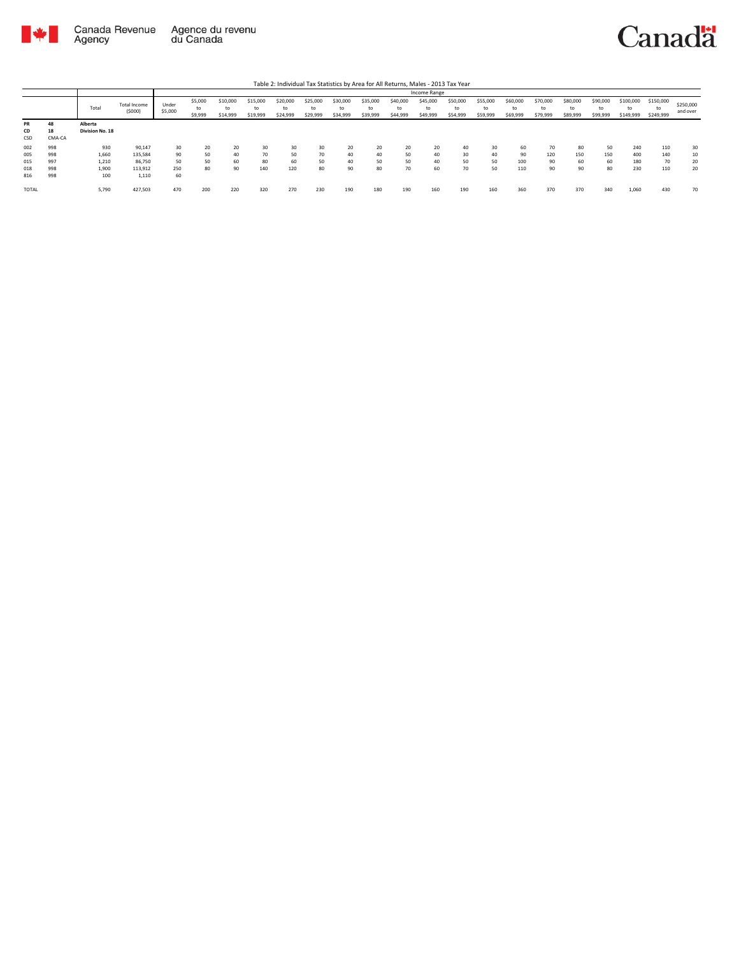

|                        |                    |                            |                        |                  |                          |                            |                            |                            |                            |                            |                            |                            |                            | Table 2: Individual Tax Statistics by Area for All Returns, Males - 2013 Tax Year |                            |                            |                            |                            |                            |                              |                              |                       |
|------------------------|--------------------|----------------------------|------------------------|------------------|--------------------------|----------------------------|----------------------------|----------------------------|----------------------------|----------------------------|----------------------------|----------------------------|----------------------------|-----------------------------------------------------------------------------------|----------------------------|----------------------------|----------------------------|----------------------------|----------------------------|------------------------------|------------------------------|-----------------------|
|                        |                    |                            |                        |                  |                          |                            |                            |                            |                            |                            |                            |                            | Income Range               |                                                                                   |                            |                            |                            |                            |                            |                              |                              |                       |
|                        |                    | Total                      | Total Income<br>(5000) | Under<br>\$5,000 | \$5,000<br>to<br>\$9,999 | \$10,000<br>to<br>\$14,999 | \$15,000<br>to<br>\$19,999 | \$20,000<br>to<br>\$24,999 | \$25,000<br>to<br>\$29,999 | \$30,000<br>to<br>\$34,999 | \$35,000<br>to<br>\$39,999 | \$40,000<br>to<br>\$44,999 | \$45,000<br>to<br>\$49,999 | \$50,000<br>to<br>\$54,999                                                        | \$55,000<br>to<br>\$59,999 | \$60,000<br>to<br>\$69,999 | \$70,000<br>to<br>\$79,999 | \$80,000<br>to<br>\$89,999 | \$90,000<br>to<br>\$99,999 | \$100,000<br>to<br>\$149,999 | \$150,000<br>to<br>\$249,999 | \$250,000<br>and over |
| <b>PR</b><br>CD<br>CSD | 48<br>18<br>CMA-CA | Alberta<br>Division No. 18 |                        |                  |                          |                            |                            |                            |                            |                            |                            |                            |                            |                                                                                   |                            |                            |                            |                            |                            |                              |                              |                       |
| 002                    | 998                | 930                        | 90.147                 | 30               | 20                       | 20                         | 30                         | 30                         | 30                         | 20                         | 20                         | 20                         | 20                         | 40                                                                                | 30                         | 60                         | 70                         | 80                         | 50                         | 240                          | 110                          | 30                    |
| 005                    | 998                | 1,660                      | 135.584                | 90               | 50                       | 40                         | 70                         | 50                         | 70                         | 40                         | 40                         | 50                         | 40                         | 30                                                                                | 40                         | 90                         | 120                        | 150                        | 150                        | 400                          | 140                          | 10                    |
| 015                    | 997                | 1,210                      | 86.750                 | 50               | 50                       | 60                         | 80                         | 60                         | 50                         | 40                         | 50                         | 50                         | 40                         | 50                                                                                | 50                         | 100                        | 90                         | 60                         | 60                         | 180                          | 70                           | 20                    |
| 018                    | 998                | 1,900                      | 113.912                | 250              | 80                       | 90                         | 140                        | 120                        | 80                         | 90                         | 80                         | 70                         | 60                         | 70                                                                                | 50                         | 110                        | 90                         | 90                         | 80                         | 230                          | 110                          | 20                    |
| 816                    | 998                | 100                        | 1,110                  | 60               |                          |                            |                            |                            |                            |                            |                            |                            |                            |                                                                                   |                            |                            |                            |                            |                            |                              |                              |                       |
| <b>TOTAL</b>           |                    | 5,790                      | 427,503                | 470              | 200                      | 220                        | 320                        | 270                        | 230                        | 190                        | 180                        | 190                        | 160                        | 190                                                                               | 160                        | 360                        | 370                        | 370                        | 340                        | 1.060                        | 430                          | 70                    |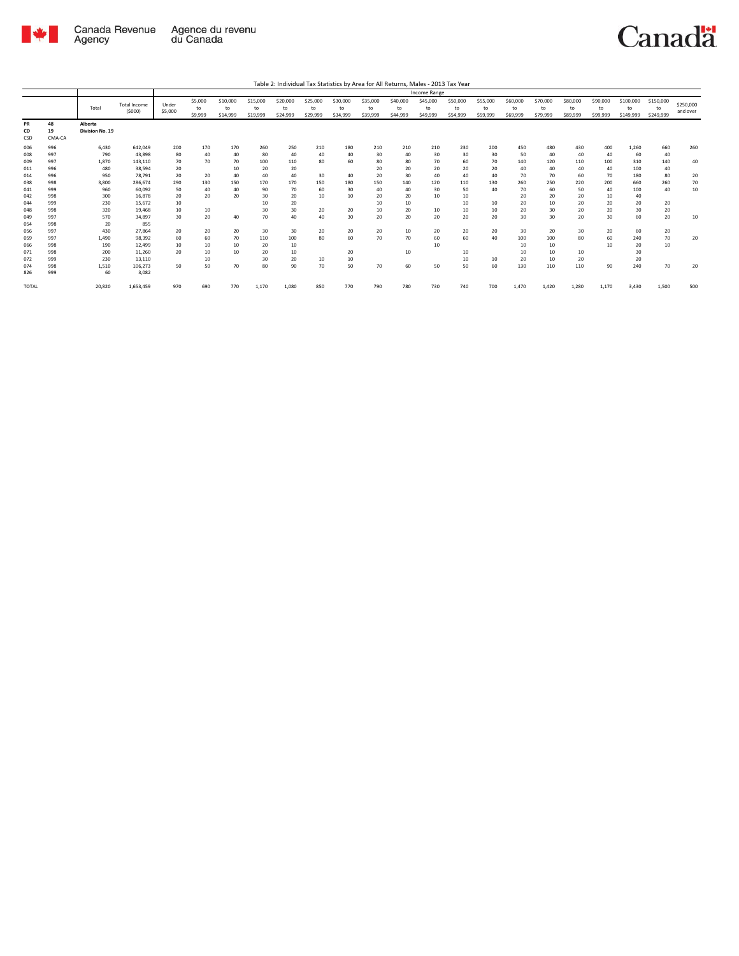

|                 |            |                            |                               |                  |                          |                            |                            |                            |                            |                            |                            |                            | Income Range               |                            |                            |                            |                            |                            |                            |                              |                              |                       |
|-----------------|------------|----------------------------|-------------------------------|------------------|--------------------------|----------------------------|----------------------------|----------------------------|----------------------------|----------------------------|----------------------------|----------------------------|----------------------------|----------------------------|----------------------------|----------------------------|----------------------------|----------------------------|----------------------------|------------------------------|------------------------------|-----------------------|
|                 |            | Total                      | <b>Total Income</b><br>(5000) | Under<br>\$5,000 | \$5,000<br>to<br>\$9,999 | \$10,000<br>to<br>\$14,999 | \$15,000<br>to<br>\$19,999 | \$20,000<br>to<br>\$24,999 | \$25,000<br>to<br>\$29,999 | \$30,000<br>to<br>\$34,999 | \$35,000<br>to<br>\$39,999 | \$40,000<br>to<br>\$44,999 | \$45,000<br>to<br>\$49,999 | \$50,000<br>to<br>\$54,999 | \$55,000<br>to<br>\$59,999 | \$60,000<br>to<br>\$69,999 | \$70,000<br>to<br>\$79,999 | \$80,000<br>to<br>\$89,999 | \$90,000<br>to<br>\$99,999 | \$100,000<br>to<br>\$149,999 | \$150,000<br>to<br>\$249,999 | \$250,000<br>and over |
| <b>PR</b><br>CD | 48<br>19   | Alberta<br>Division No. 19 |                               |                  |                          |                            |                            |                            |                            |                            |                            |                            |                            |                            |                            |                            |                            |                            |                            |                              |                              |                       |
| CSD             | CMA-CA     |                            |                               |                  |                          |                            |                            |                            |                            |                            |                            |                            |                            |                            |                            |                            |                            |                            |                            |                              |                              |                       |
| 006             | 996        | 6,430                      | 642,049                       | 200              | 170                      | 170                        | 260                        | 250                        | 210                        | 180                        | 210                        | 210                        | 210                        | 230                        | 200                        | 450                        | 480                        | 430                        | 400                        | 1,260                        | 660                          | 260                   |
| 008             | 997        | 790                        | 43,898                        | 80               | 40                       | 40                         | 80                         | 40                         | 40                         | 40                         | 30                         | 40                         | 30                         | 30                         | 30                         | 50                         | 40                         | 40                         | 40                         | 60                           | 40                           |                       |
| 009             | 997        | 1,870                      | 143,110                       | 70               | 70                       | 70                         | 100                        | 110                        | 80                         | 60                         | 80                         | 80                         | 70                         | 60                         | 70                         | 140                        | 120                        | 110                        | 100                        | 310                          | 140                          | 40                    |
| 011             | 996        | 480                        | 38,594                        | 20               |                          | 10                         | 20                         | 20                         |                            |                            | 20                         | 20                         | 20                         | 20                         | 20                         | 40                         | 40                         | 40                         | 40                         | 100                          | 40                           |                       |
| 014             | 996        | 950                        | 78.791                        | 20               | 20                       | 40                         | 40                         | 40                         | 30                         | 40                         | 20                         | 30                         | 40                         | 40                         | 40                         | 70                         | 70                         | 60                         | 70                         | 180                          | 80                           | 20                    |
| 038             | 998<br>999 | 3.800<br>960               | 286.674                       | 290<br>50        | 130<br>40                | 150                        | 170                        | 170<br>70                  | 150<br>60                  | 180<br>30                  | 150<br>40                  | 140<br>40                  | 120<br>30                  | 110<br>50                  | 130<br>40                  | 260<br>70                  | 250                        | 220<br>50                  | 200<br>40                  | 660                          | 260<br>40                    | 70                    |
| 041             |            | 300                        | 60,092                        |                  | 20                       | 40<br>20                   | 90                         |                            | 10                         |                            |                            |                            | 10                         |                            |                            |                            | 60                         |                            |                            | 100                          |                              | 10                    |
| 042<br>044      | 998<br>999 | 230                        | 16,878<br>15,672              | 20<br>10         |                          |                            | 30<br>10                   | 20<br>20                   |                            | 10                         | 20<br>10                   | 20<br>10                   |                            | 10<br>10                   | 10                         | 20<br>20                   | 20<br>10                   | 20<br>20                   | 10<br>20                   | 40<br>20                     | 20                           |                       |
| 048             | 998        | 320                        | 19,468                        | 10               | 10                       |                            | 30                         | 30                         | 20                         | 20                         | 10                         | 20                         | 10                         | 10                         | 10                         | 20                         | 30                         | 20                         | 20                         | 30                           | 20                           |                       |
| 049             | 997        | 570                        | 34.897                        | 30               | 20                       | 40                         | 70                         | 40                         | 40                         | 30                         | 20                         | 20                         | 20                         | 20                         | 20                         | 30                         | 30                         | 20                         | 30                         | 60                           | 20                           | 10                    |
| 054             | 998        | 20                         | 855                           |                  |                          |                            |                            |                            |                            |                            |                            |                            |                            |                            |                            |                            |                            |                            |                            |                              |                              |                       |
| 056             | 997        | 430                        | 27,864                        | 20               | 20                       | 20                         | 30                         | 30                         | 20                         | 20                         | 20                         | 10                         | 20                         | 20                         | 20                         | 30                         | 20                         | 30                         | 20                         | 60                           | 20                           |                       |
| 059             | 997        | 1.490                      | 98.392                        | 60               | 60                       | 70                         | 110                        | 100                        | 80                         | 60                         | 70                         | 70                         | 60                         | 60                         | 40                         | 100                        | 100                        | 80                         | 60                         | 240                          | 70                           | 20                    |
| 066             | 998        | 190                        | 12.499                        | 10               | 10                       | 10                         | 20                         | 10                         |                            |                            |                            |                            | 10                         |                            |                            | 10                         | 10                         |                            | 10                         | 20                           | 10                           |                       |
| 071             | 998        | 200                        | 11,260                        | 20               | 10                       | 10                         | 20                         | 10                         |                            | 20                         |                            | 10                         |                            | 10                         |                            | 10                         | 10                         | 10                         |                            | 30                           |                              |                       |
| 072             | 999        | 230                        | 13,110                        |                  | 10                       |                            | 30                         | 20                         | 10                         | 10                         |                            |                            |                            | 10                         | 10                         | 20                         | 10                         | 20                         |                            | 20                           |                              |                       |
| 074             | 998        | 1.510                      | 106.273                       | 50               | 50                       | 70                         | 80                         | 90                         | 70                         | 50                         | 70                         | 60                         | 50                         | 50                         | 60                         | 130                        | 110                        | 110                        | 90                         | 240                          | 70                           | 20                    |
| 826             | 999        | 60                         | 3.082                         |                  |                          |                            |                            |                            |                            |                            |                            |                            |                            |                            |                            |                            |                            |                            |                            |                              |                              |                       |
| TOTAL           |            | 20,820                     | 1,653,459                     | 970              | 690                      | 770                        | 1,170                      | 1,080                      | 850                        | 770                        | 790                        | 780                        | 730                        | 740                        | 700                        | 1,470                      | 1,420                      | 1,280                      | 1,170                      | 3,430                        | 1,500                        | 500                   |